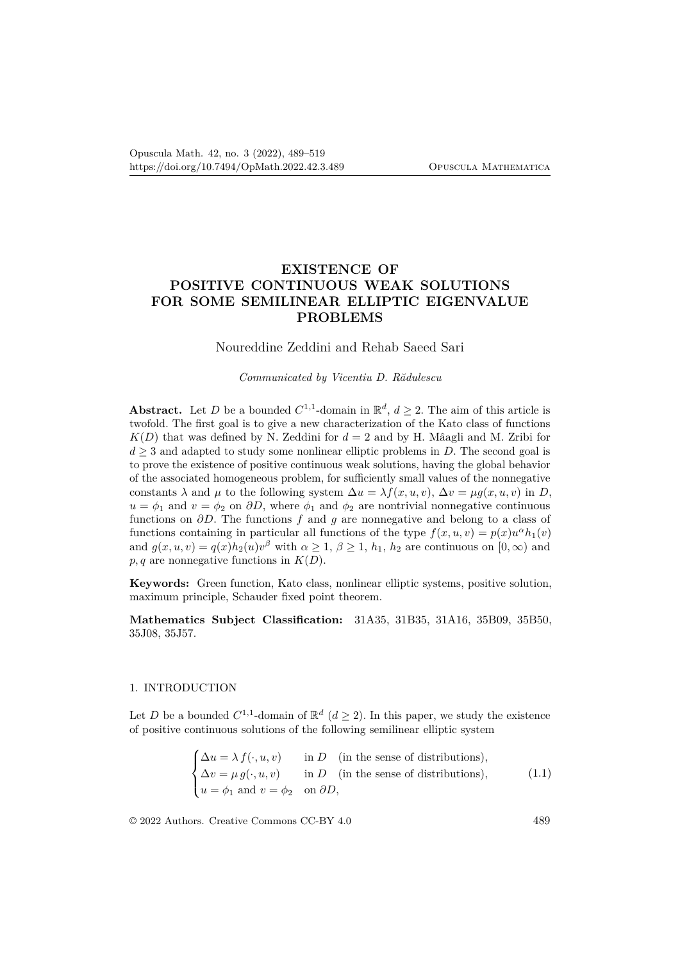# **EXISTENCE OF POSITIVE CONTINUOUS WEAK SOLUTIONS FOR SOME SEMILINEAR ELLIPTIC EIGENVALUE PROBLEMS**

## Noureddine Zeddini and Rehab Saeed Sari

*Communicated by Vicentiu D. Rădulescu*

**Abstract.** Let *D* be a bounded  $C^{1,1}$ -domain in  $\mathbb{R}^d$ ,  $d \geq 2$ . The aim of this article is twofold. The first goal is to give a new characterization of the Kato class of functions  $K(D)$  that was defined by N. Zeddini for  $d = 2$  and by H. Mâagli and M. Zribi for  $d \geq 3$  and adapted to study some nonlinear elliptic problems in *D*. The second goal is to prove the existence of positive continuous weak solutions, having the global behavior of the associated homogeneous problem, for sufficiently small values of the nonnegative constants  $\lambda$  and  $\mu$  to the following system  $\Delta u = \lambda f(x, u, v)$ ,  $\Delta v = \mu g(x, u, v)$  in *D*,  $u = \phi_1$  and  $v = \phi_2$  on  $\partial D$ , where  $\phi_1$  and  $\phi_2$  are nontrivial nonnegative continuous functions on *∂D*. The functions *f* and *g* are nonnegative and belong to a class of functions containing in particular all functions of the type  $f(x, u, v) = p(x)u^{\alpha}h_1(v)$ and  $g(x, u, v) = q(x)h_2(u)v^{\beta}$  with  $\alpha \geq 1$ ,  $\beta \geq 1$ ,  $h_1$ ,  $h_2$  are continuous on  $[0, \infty)$  and  $p, q$  are nonnegative functions in  $K(D)$ .

**Keywords:** Green function, Kato class, nonlinear elliptic systems, positive solution, maximum principle, Schauder fixed point theorem.

**Mathematics Subject Classification:** 31A35, 31B35, 31A16, 35B09, 35B50, 35J08, 35J57.

## 1. INTRODUCTION

Let *D* be a bounded  $C^{1,1}$ -domain of  $\mathbb{R}^d$  ( $d \ge 2$ ). In this paper, we study the existence of positive continuous solutions of the following semilinear elliptic system

$$
\begin{cases}\n\Delta u = \lambda f(\cdot, u, v) & \text{in } D \quad \text{(in the sense of distributions)}, \\
\Delta v = \mu g(\cdot, u, v) & \text{in } D \quad \text{(in the sense of distributions)}, \\
u = \phi_1 \text{ and } v = \phi_2 \quad \text{on } \partial D,\n\end{cases}
$$
\n(1.1)

© 2022 Authors. Creative Commons CC-BY 4.0 489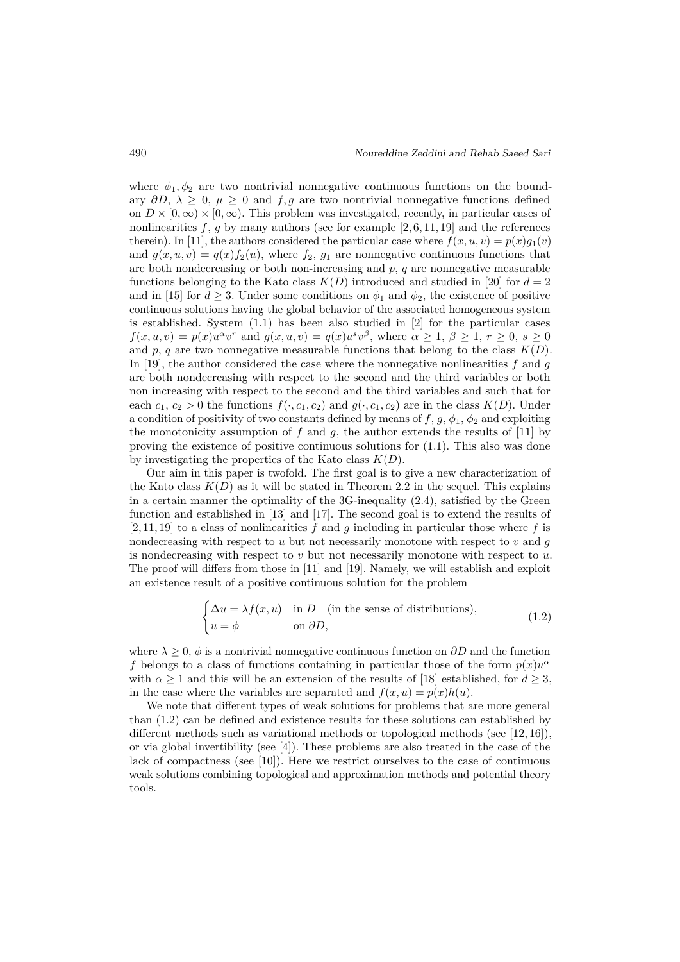where  $\phi_1, \phi_2$  are two nontrivial nonnegative continuous functions on the boundary  $\partial D$ ,  $\lambda \geq 0$ ,  $\mu \geq 0$  and  $f, g$  are two nontrivial nonnegative functions defined on  $D \times [0,\infty) \times [0,\infty)$ . This problem was investigated, recently, in particular cases of nonlinearities  $f, g$  by many authors (see for example  $[2, 6, 11, 19]$  and the references therein). In [11], the authors considered the particular case where  $f(x, u, v) = p(x)g_1(v)$ and  $g(x, u, v) = q(x) f_2(u)$ , where  $f_2, g_1$  are nonnegative continuous functions that are both nondecreasing or both non-increasing and  $p$ ,  $q$  are nonnegative measurable functions belonging to the Kato class  $K(D)$  introduced and studied in [20] for  $d = 2$ and in [15] for  $d \geq 3$ . Under some conditions on  $\phi_1$  and  $\phi_2$ , the existence of positive continuous solutions having the global behavior of the associated homogeneous system is established. System (1.1) has been also studied in [2] for the particular cases  $f(x, u, v) = p(x)u^{\alpha}v^{r}$  and  $g(x, u, v) = q(x)u^{s}v^{\beta}$ , where  $\alpha \geq 1, \beta \geq 1, r \geq 0, s \geq 0$ and  $p, q$  are two nonnegative measurable functions that belong to the class  $K(D)$ . In [19], the author considered the case where the nonnegative nonlinearities *f* and *g* are both nondecreasing with respect to the second and the third variables or both non increasing with respect to the second and the third variables and such that for each  $c_1, c_2 > 0$  the functions  $f(\cdot, c_1, c_2)$  and  $g(\cdot, c_1, c_2)$  are in the class  $K(D)$ . Under a condition of positivity of two constants defined by means of  $f$ ,  $g$ ,  $\phi_1$ ,  $\phi_2$  and exploiting the monotonicity assumption of *f* and *g*, the author extends the results of [11] by proving the existence of positive continuous solutions for (1.1). This also was done by investigating the properties of the Kato class *K*(*D*).

Our aim in this paper is twofold. The first goal is to give a new characterization of the Kato class  $K(D)$  as it will be stated in Theorem 2.2 in the sequel. This explains in a certain manner the optimality of the 3G-inequality (2*.*4), satisfied by the Green function and established in [13] and [17]. The second goal is to extend the results of [2, 11, 19] to a class of nonlinearities *f* and *g* including in particular those where *f* is nondecreasing with respect to *u* but not necessarily monotone with respect to *v* and *g* is nondecreasing with respect to *v* but not necessarily monotone with respect to *u*. The proof will differs from those in [11] and [19]. Namely, we will establish and exploit an existence result of a positive continuous solution for the problem

$$
\begin{cases} \Delta u = \lambda f(x, u) & \text{in } D \quad \text{(in the sense of distributions)}, \\ u = \phi & \text{on } \partial D, \end{cases}
$$
 (1.2)

where  $\lambda \geq 0$ ,  $\phi$  is a nontrivial nonnegative continuous function on  $\partial D$  and the function *f* belongs to a class of functions containing in particular those of the form  $p(x)u^{\alpha}$ with  $\alpha \geq 1$  and this will be an extension of the results of [18] established, for  $d \geq 3$ , in the case where the variables are separated and  $f(x, u) = p(x)h(u)$ .

We note that different types of weak solutions for problems that are more general than (1.2) can be defined and existence results for these solutions can established by different methods such as variational methods or topological methods (see [12, 16]), or via global invertibility (see [4]). These problems are also treated in the case of the lack of compactness (see [10]). Here we restrict ourselves to the case of continuous weak solutions combining topological and approximation methods and potential theory tools.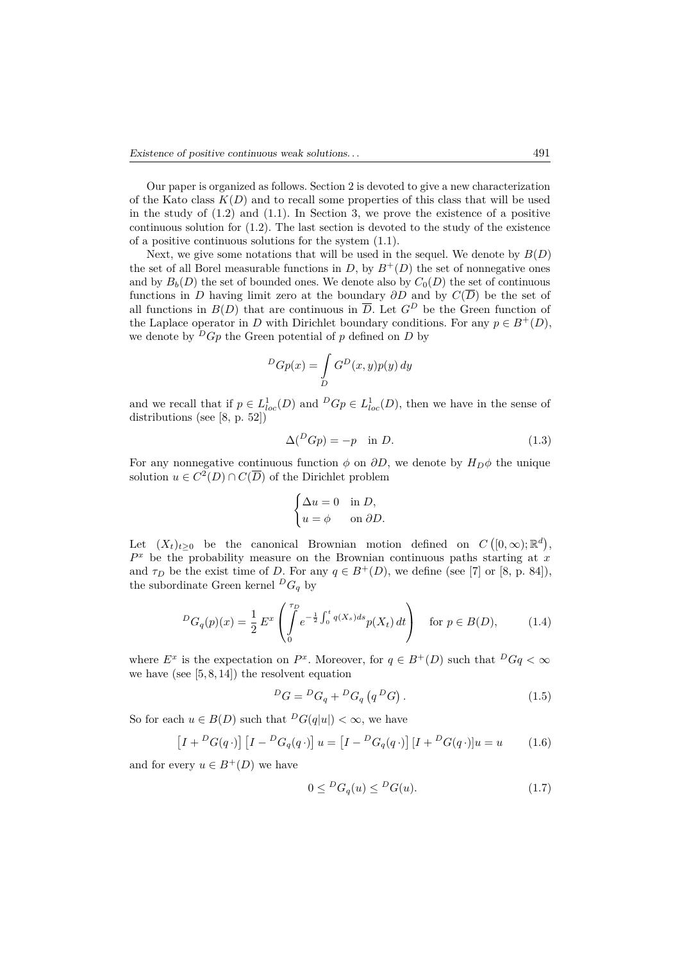Our paper is organized as follows. Section 2 is devoted to give a new characterization of the Kato class  $K(D)$  and to recall some properties of this class that will be used in the study of  $(1.2)$  and  $(1.1)$ . In Section 3, we prove the existence of a positive continuous solution for (1*.*2). The last section is devoted to the study of the existence of a positive continuous solutions for the system (1.1).

Next, we give some notations that will be used in the sequel. We denote by  $B(D)$ the set of all Borel measurable functions in *D*, by  $B^+(D)$  the set of nonnegative ones and by  $B_b(D)$  the set of bounded ones. We denote also by  $C_0(D)$  the set of continuous functions in *D* having limit zero at the boundary  $\partial D$  and by  $C(\overline{D})$  be the set of all functions in  $B(D)$  that are continuous in  $\overline{D}$ . Let  $G^D$  be the Green function of the Laplace operator in *D* with Dirichlet boundary conditions. For any  $p \in B^+(D)$ , we denote by  ${}^D G_p$  the Green potential of p defined on D by

$$
{}^{D}Gp(x) = \int\limits_{D} G^{D}(x, y)p(y) \, dy
$$

and we recall that if  $p \in L^1_{loc}(D)$  and  $^D Gp \in L^1_{loc}(D)$ , then we have in the sense of distributions (see [8, p. 52])

$$
\Delta({}^D G p) = -p \quad \text{in } D. \tag{1.3}
$$

For any nonnegative continuous function  $\phi$  on  $\partial D$ , we denote by  $H_D\phi$  the unique solution  $u \in C^2(D) \cap C(\overline{D})$  of the Dirichlet problem

$$
\begin{cases} \Delta u = 0 & \text{in } D, \\ u = \phi & \text{on } \partial D. \end{cases}
$$

Let  $(X_t)_{t\geq0}$  be the canonical Brownian motion defined on  $C([0,\infty);\mathbb{R}^d)$ ,  $P<sup>x</sup>$  be the probability measure on the Brownian continuous paths starting at  $x$ and  $\tau_D$  be the exist time of *D*. For any  $q \in B^+(D)$ , we define (see [7] or [8, p. 84]), the subordinate Green kernel  ${}^D G_q$  by

$$
{}^{D}G_{q}(p)(x) = \frac{1}{2} E^{x} \left( \int_{0}^{\tau_{D}} e^{-\frac{1}{2} \int_{0}^{t} q(X_{s}) ds} p(X_{t}) dt \right) \quad \text{for } p \in B(D), \tag{1.4}
$$

where  $E^x$  is the expectation on  $P^x$ . Moreover, for  $q \in B^+(D)$  such that  $^D Gq < \infty$ we have (see  $[5, 8, 14]$ ) the resolvent equation

$$
{}^{D}G = {}^{D}G_q + {}^{D}G_q (q {}^{D}G). \qquad (1.5)
$$

So for each  $u \in B(D)$  such that  ${}^D G(q|u|) < \infty$ , we have

$$
\left[I + {}^{D}G(q \cdot)\right]\left[I - {}^{D}G_q(q \cdot)\right]u = \left[I - {}^{D}G_q(q \cdot)\right]\left[I + {}^{D}G(q \cdot)\right]u = u \tag{1.6}
$$

and for every  $u \in B^+(D)$  we have

$$
0 \leq {}^{D}G_q(u) \leq {}^{D}G(u). \tag{1.7}
$$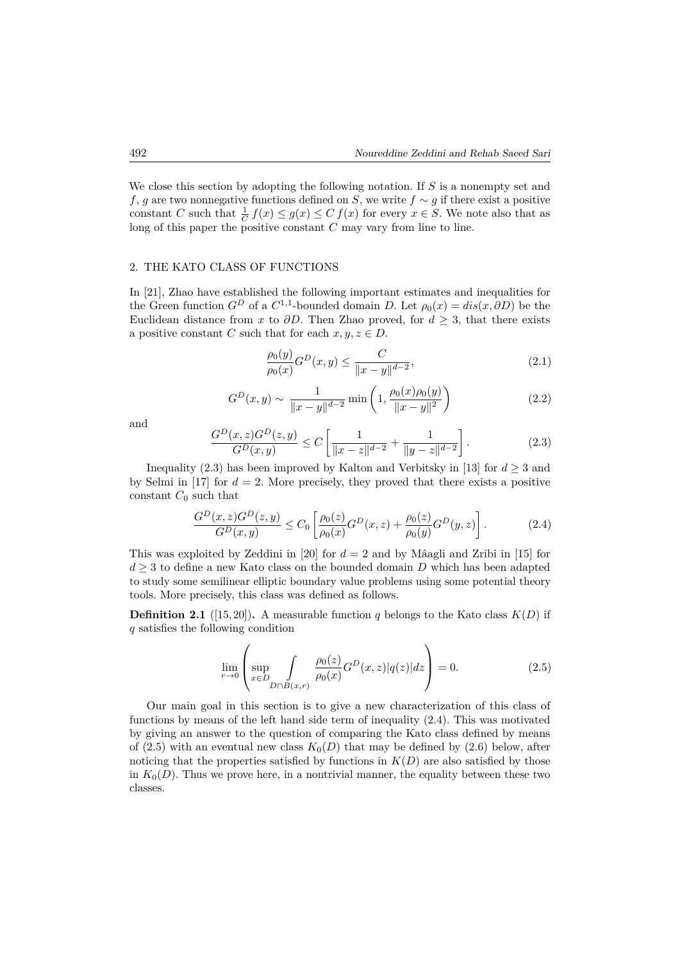We close this section by adopting the following notation. If *S* is a nonempty set and *f*, *g* are two nonnegative functions defined on *S*, we write  $f \sim g$  if there exist a positive constant *C* such that  $\frac{1}{C} f(x) \leq g(x) \leq C f(x)$  for every  $x \in S$ . We note also that as long of this paper the positive constant *C* may vary from line to line.

#### 2. THE KATO CLASS OF FUNCTIONS

In [21], Zhao have established the following important estimates and inequalities for the Green function  $G^D$  of a  $C^{1,1}$ -bounded domain *D*. Let  $\rho_0(x) = dis(x, \partial D)$  be the Euclidean distance from *x* to  $\partial D$ . Then Zhao proved, for  $d > 3$ , that there exists a positive constant *C* such that for each  $x, y, z \in D$ .

$$
\frac{\rho_0(y)}{\rho_0(x)} G^D(x, y) \le \frac{C}{\|x - y\|^{d - 2}},\tag{2.1}
$$

$$
G^{D}(x,y) \sim \frac{1}{\|x-y\|^{d-2}} \min\left(1, \frac{\rho_0(x)\rho_0(y)}{\|x-y\|^2}\right) \tag{2.2}
$$

and

$$
\frac{G^D(x,z)G^D(z,y)}{G^D(x,y)} \le C \left[ \frac{1}{\|x-z\|^{d-2}} + \frac{1}{\|y-z\|^{d-2}} \right].
$$
\n(2.3)

Inequality (2.3) has been improved by Kalton and Verbitsky in [13] for  $d \geq 3$  and by Selmi in  $[17]$  for  $d = 2$ . More precisely, they proved that there exists a positive constant  $C_0$  such that

$$
\frac{G^D(x,z)G^D(z,y)}{G^D(x,y)} \le C_0 \left[ \frac{\rho_0(z)}{\rho_0(x)} G^D(x,z) + \frac{\rho_0(z)}{\rho_0(y)} G^D(y,z) \right].
$$
\n(2.4)

This was exploited by Zeddini in [20] for *d* = 2 and by Mâagli and Zribi in [15] for  $d \geq 3$  to define a new Kato class on the bounded domain *D* which has been adapted to study some semilinear elliptic boundary value problems using some potential theory tools. More precisely, this class was defined as follows.

**Definition 2.1** ([15, 20]). A measurable function *q* belongs to the Kato class  $K(D)$  if *q* satisfies the following condition

$$
\lim_{r \to 0} \left( \sup_{x \in D} \int_{D \cap B(x,r)} \frac{\rho_0(z)}{\rho_0(x)} G^D(x,z) |q(z)| dz \right) = 0.
$$
 (2.5)

Our main goal in this section is to give a new characterization of this class of functions by means of the left hand side term of inequality (2.4). This was motivated by giving an answer to the question of comparing the Kato class defined by means of (2.5) with an eventual new class  $K_0(D)$  that may be defined by (2.6) below, after noticing that the properties satisfied by functions in  $K(D)$  are also satisfied by those in  $K_0(D)$ . Thus we prove here, in a nontrivial manner, the equality between these two classes.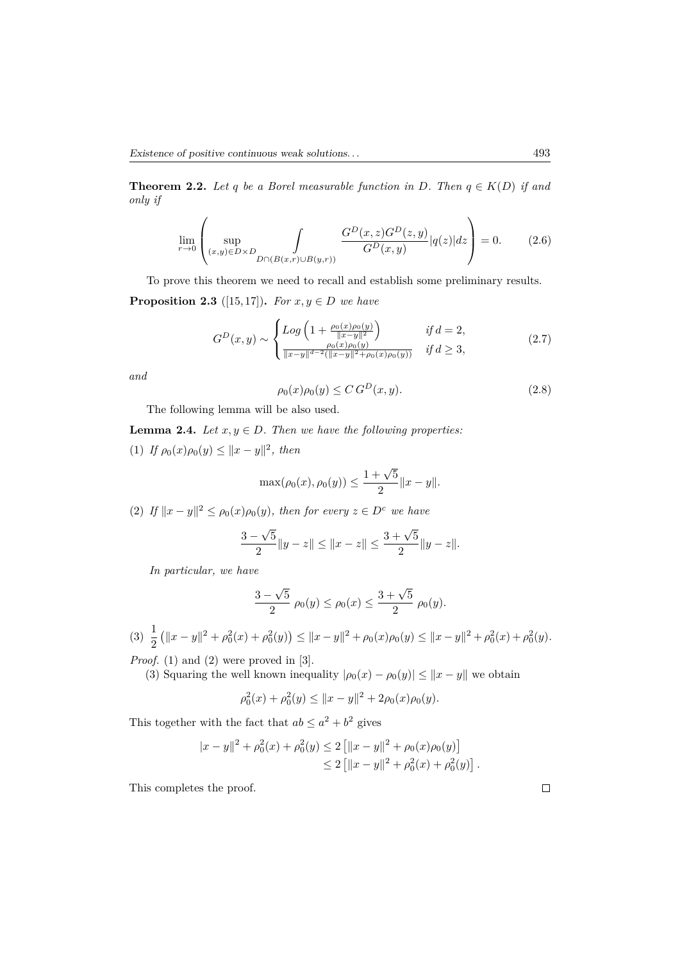**Theorem 2.2.** *Let q be a Borel measurable function in D. Then*  $q \in K(D)$  *if and only if*

$$
\lim_{r \to 0} \left( \sup_{(x,y) \in D \times D} \int_{D \cap (B(x,r) \cup B(y,r))} \frac{G^D(x,z)G^D(z,y)}{G^D(x,y)} |q(z)| dz \right) = 0.
$$
 (2.6)

To prove this theorem we need to recall and establish some preliminary results. **Proposition 2.3** ([15,17]). *For*  $x, y \in D$  *we have* 

$$
G^{D}(x,y) \sim \begin{cases} Log\left(1 + \frac{\rho_{0}(x)\rho_{0}(y)}{\|x-y\|^{2}}\right) & \text{if } d = 2, \\ \frac{\rho_{0}(x)\rho_{0}(y)}{\|x-y\|^{d-2}(\|x-y\|^{2}+\rho_{0}(x)\rho_{0}(y))} & \text{if } d \geq 3, \end{cases}
$$
(2.7)

*and*

$$
\rho_0(x)\rho_0(y) \le C\,G^D(x,y). \tag{2.8}
$$

The following lemma will be also used.

**Lemma 2.4.** *Let*  $x, y \in D$ *. Then we have the following properties:* 

(1) *If*  $\rho_0(x)\rho_0(y) \le ||x - y||^2$ , then

$$
\max(\rho_0(x), \rho_0(y)) \le \frac{1+\sqrt{5}}{2} ||x - y||.
$$

(2) *If*  $||x - y||^2 \le \rho_0(x)\rho_0(y)$ , then for every  $z \in D^c$  we have

$$
\frac{3-\sqrt{5}}{2}||y-z|| \le ||x-z|| \le \frac{3+\sqrt{5}}{2}||y-z||.
$$

*In particular, we have*

$$
\frac{3-\sqrt{5}}{2}\,\rho_0(y)\leq\rho_0(x)\leq\frac{3+\sqrt{5}}{2}\,\rho_0(y).
$$

$$
(3) \ \frac{1}{2} \left( \|x - y\|^2 + \rho_0^2(x) + \rho_0^2(y) \right) \le \|x - y\|^2 + \rho_0(x)\rho_0(y) \le \|x - y\|^2 + \rho_0^2(x) + \rho_0^2(y).
$$

*Proof.* (1) and (2) were proved in [3].

(3) Squaring the well known inequality  $|\rho_0(x) - \rho_0(y)| \leq ||x - y||$  we obtain

$$
\rho_0^2(x) + \rho_0^2(y) \le ||x - y||^2 + 2\rho_0(x)\rho_0(y).
$$

This together with the fact that  $ab \leq a^2 + b^2$  gives

$$
|x - y||2 + \rho_02(x) + \rho_02(y) \le 2 [[|x - y||2 + \rho_0(x)\rho_0(y)]\le 2 [[|x - y||2 + \rho_02(x) + \rho_02(y)].
$$

This completes the proof.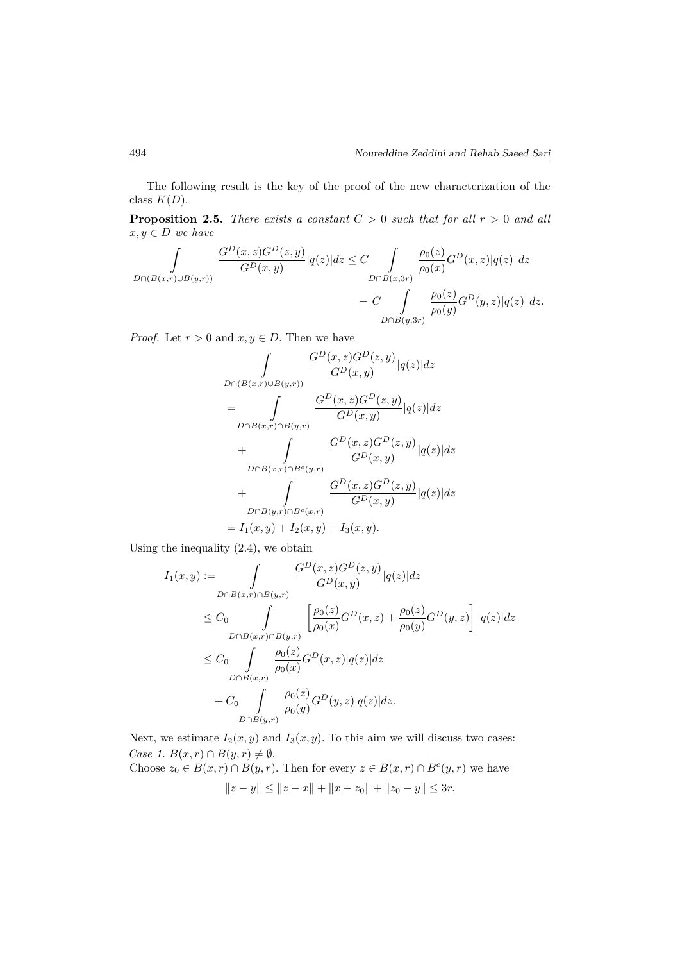The following result is the key of the proof of the new characterization of the class  $K(D)$ .

**Proposition 2.5.** *There exists a constant*  $C > 0$  *such that for all*  $r > 0$  *and all*  $x, y \in D$  *we have* 

$$
\begin{aligned} \int\limits_{D \cap (B(x,r) \cup B(y,r))} \frac{G^D(x,z)G^D(z,y)}{G^D(x,y)}|q(z)|dz \leq C\int\limits_{D \cap B(x,3r)} \frac{\rho_0(z)}{\rho_0(x)}G^D(x,z)|q(z)|dz \\ &+ C\int\limits_{D \cap B(y,3r)} \frac{\rho_0(z)}{\rho_0(y)}G^D(y,z)|q(z)|dz. \end{aligned}
$$

*Proof.* Let  $r > 0$  and  $x, y \in D$ . Then we have

$$
\int_{D \cap (B(x,r) \cup B(y,r))} \frac{G^D(x,z)G^D(z,y)}{G^D(x,y)} |q(z)| dz
$$
\n
$$
= \int_{D \cap B(x,r) \cap B(y,r)} \frac{G^D(x,z)G^D(z,y)}{G^D(x,y)} |q(z)| dz
$$
\n
$$
+ \int_{D \cap B(x,r) \cap B^c(y,r)} \frac{G^D(x,z)G^D(z,y)}{G^D(x,y)} |q(z)| dz
$$
\n
$$
+ \int_{D \cap B(y,r) \cap B^c(x,r)} \frac{G^D(x,z)G^D(z,y)}{G^D(x,y)} |q(z)| dz
$$
\n
$$
= I_1(x,y) + I_2(x,y) + I_3(x,y).
$$

Using the inequality (2.4), we obtain

$$
I_{1}(x,y) := \int_{D \cap B(x,r) \cap B(y,r)} \frac{G^{D}(x,z)G^{D}(z,y)}{G^{D}(x,y)} |q(z)|dz
$$
  
\n
$$
\leq C_{0} \int_{D \cap B(x,r) \cap B(y,r)} \left[ \frac{\rho_{0}(z)}{\rho_{0}(x)} G^{D}(x,z) + \frac{\rho_{0}(z)}{\rho_{0}(y)} G^{D}(y,z) \right] |q(z)|dz
$$
  
\n
$$
\leq C_{0} \int_{D \cap B(x,r)} \frac{\rho_{0}(z)}{\rho_{0}(x)} G^{D}(x,z) |q(z)|dz
$$
  
\n
$$
+ C_{0} \int_{D \cap B(y,r)} \frac{\rho_{0}(z)}{\rho_{0}(y)} G^{D}(y,z) |q(z)|dz.
$$

Next, we estimate  $I_2(x, y)$  and  $I_3(x, y)$ . To this aim we will discuss two cases: *Case 1.*  $B(x,r) \cap B(y,r) \neq \emptyset$ .

Choose  $z_0 \in B(x,r) \cap B(y,r)$ . Then for every  $z \in B(x,r) \cap B^c(y,r)$  we have ∥*z* − *y*∥ ≤ ∥*z* − *x*∥ + ∥*x* − *z*0∥ + ∥*z*<sup>0</sup> − *y*∥ ≤ 3*r.*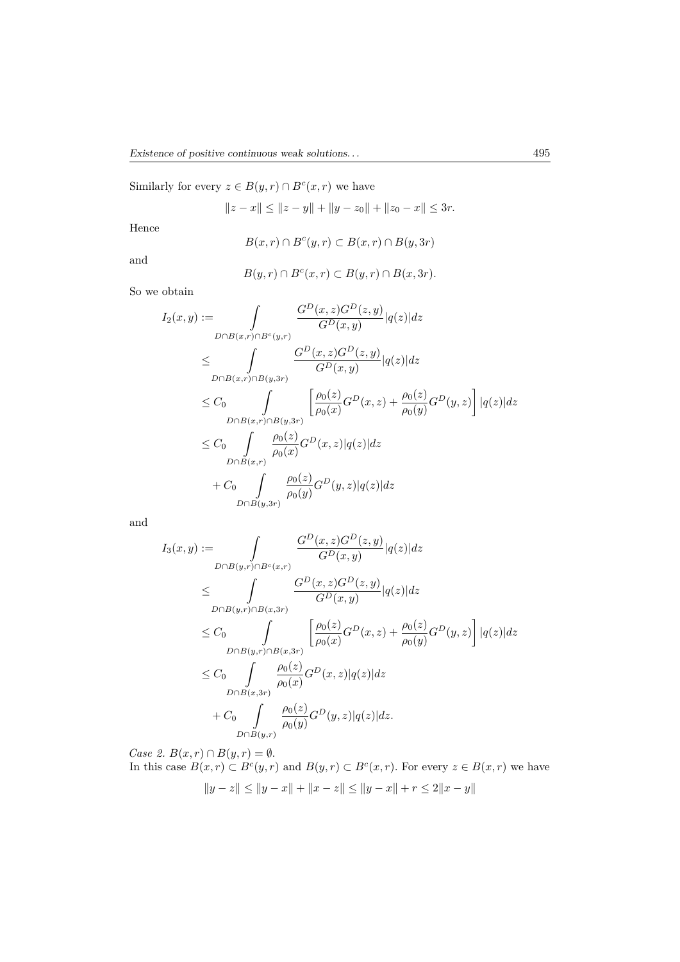Similarly for every  $z \in B(y, r) \cap B^c(x, r)$  we have

$$
||z - x|| \le ||z - y|| + ||y - z_0|| + ||z_0 - x|| \le 3r.
$$

Hence

$$
B(x,r) \cap B^c(y,r) \subset B(x,r) \cap B(y,3r)
$$

and

$$
B(y,r) \cap B^{c}(x,r) \subset B(y,r) \cap B(x,3r).
$$

So we obtain

$$
I_2(x,y) := \int_{D \cap B(x,r) \cap B^c(y,r)} \frac{G^D(x,z)G^D(z,y)}{G^D(x,y)} |q(z)| dz
$$
  
\n
$$
\leq \int_{D \cap B(x,r) \cap B(y,3r)} \frac{G^D(x,z)G^D(z,y)}{G^D(x,y)} |q(z)| dz
$$
  
\n
$$
\leq C_0 \int_{D \cap B(x,r) \cap B(y,3r)} \left[ \frac{\rho_0(z)}{\rho_0(x)} G^D(x,z) + \frac{\rho_0(z)}{\rho_0(y)} G^D(y,z) \right] |q(z)| dz
$$
  
\n
$$
\leq C_0 \int_{D \cap B(x,r)} \frac{\rho_0(z)}{\rho_0(x)} G^D(x,z) |q(z)| dz
$$
  
\n
$$
+ C_0 \int_{D \cap B(y,3r)} \frac{\rho_0(z)}{\rho_0(y)} G^D(y,z) |q(z)| dz
$$

and

$$
I_3(x,y) := \int_{D \cap B(y,r) \cap B^c(x,r)} \frac{G^D(x,z)G^D(z,y)}{G^D(x,y)} |q(z)|dz
$$
  
\n
$$
\leq \int_{D \cap B(y,r) \cap B(x,3r)} \frac{G^D(x,z)G^D(z,y)}{G^D(x,y)} |q(z)|dz
$$
  
\n
$$
\leq C_0 \int_{D \cap B(y,r) \cap B(x,3r)} \left[ \frac{\rho_0(z)}{\rho_0(x)} G^D(x,z) + \frac{\rho_0(z)}{\rho_0(y)} G^D(y,z) \right] |q(z)|dz
$$
  
\n
$$
\leq C_0 \int_{D \cap B(x,3r)} \frac{\rho_0(z)}{\rho_0(x)} G^D(x,z) |q(z)|dz
$$
  
\n
$$
+ C_0 \int_{D \cap B(y,r)} \frac{\rho_0(z)}{\rho_0(y)} G^D(y,z) |q(z)|dz.
$$

*Case 2.*  $B(x, r) \cap B(y, r) = \emptyset$ . In this case  $B(x,r) \subset B^c(y,r)$  and  $B(y,r) \subset B^c(x,r)$ . For every  $z \in B(x,r)$  we have ∥*y* − *z*∥ ≤ ∥*y* − *x*∥ + ∥*x* − *z*∥ ≤ ∥*y* − *x*∥ + *r* ≤ 2∥*x* − *y*∥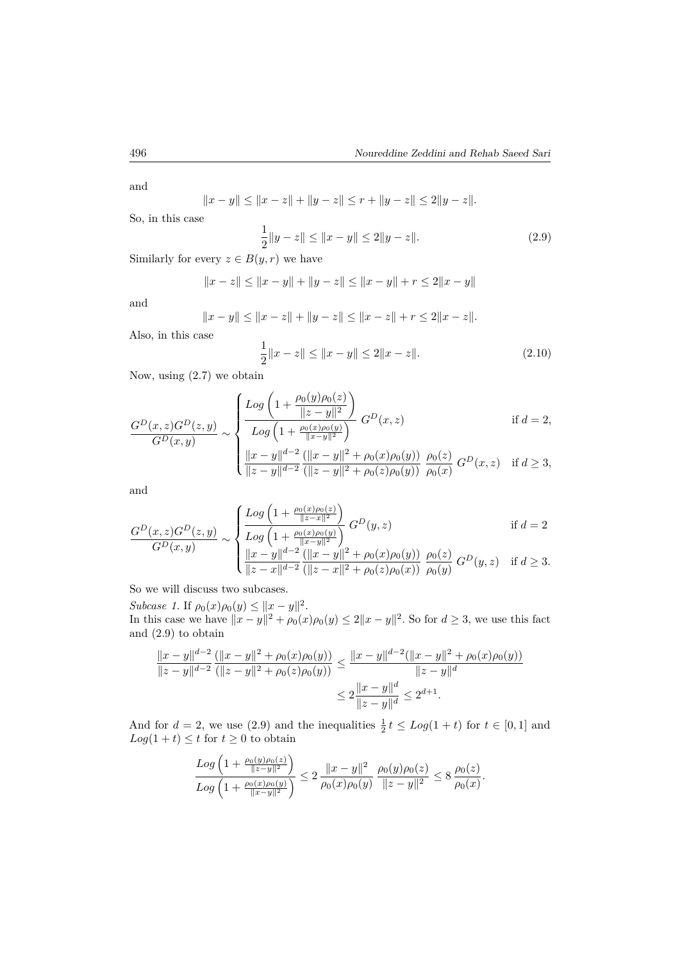and

$$
||x - y|| \le ||x - z|| + ||y - z|| \le r + ||y - z|| \le 2||y - z||.
$$

So, in this case

$$
\frac{1}{2}||y - z|| \le ||x - y|| \le 2||y - z||.
$$
\n(2.9)

Similarly for every  $z \in B(y, r)$  we have

$$
||x - z|| \le ||x - y|| + ||y - z|| \le ||x - y|| + r \le 2||x - y||
$$

and

$$
||x - y|| \le ||x - z|| + ||y - z|| \le ||x - z|| + r \le 2||x - z||.
$$
 Also, in this case

$$
\frac{1}{2}||x - z|| \le ||x - y|| \le 2||x - z||.
$$
\n(2.10)

Now, using (2.7) we obtain

$$
\frac{G^D(x,z)G^D(z,y)}{G^D(x,y)} \sim \begin{cases} \frac{Log\left(1 + \frac{\rho_0(y)\rho_0(z)}{\|z-y\|^2}\right)}{Log\left(1 + \frac{\rho_0(x)\rho_0(y)}{\|x-y\|^2}\right)} & G^D(x,z) & \text{if } d = 2, \\ \frac{|x-y|^{d-2}\left(\|x-y\|^2 + \rho_0(x)\rho_0(y)\right)}{\|z-y\|^{d-2}\left(\|z-y\|^2 + \rho_0(z)\rho_0(y)\right)} & \frac{\rho_0(z)}{\rho_0(x)} & G^D(x,z) & \text{if } d \ge 3, \end{cases}
$$

and

$$
\frac{G^D(x,z)G^D(z,y)}{G^D(x,y)} \sim \begin{cases} \frac{Log\left(1 + \frac{\rho_0(x)\rho_0(z)}{\|z-x\|^2}\right)}{Log\left(1 + \frac{\rho_0(x)\rho_0(y)}{\|x-y\|^2}\right)}G^D(y,z) & \text{if } d = 2\\ \frac{\|x-y\|^{d-2}\left(\|x-y\|^2 + \rho_0(x)\rho_0(y)\right)}{\|z-x\|^{d-2}\left(\|z-x\|^2 + \rho_0(z)\rho_0(x)\right)}\frac{\rho_0(z)}{\rho_0(y)}G^D(y,z) & \text{if } d \ge 3. \end{cases}
$$

So we will discuss two subcases.

*Subcase 1.* If  $\rho_0(x)\rho_0(y) \le ||x - y||^2$ . In this case we have  $||x - y||^2 + \rho_0(x)\rho_0(y) \leq 2||x - y||^2$ . So for  $d \geq 3$ , we use this fact and (2.9) to obtain

$$
\frac{\|x-y\|^{d-2} (||x-y||^2 + \rho_0(x)\rho_0(y))}{\|z-y\|^{d-2} (||z-y||^2 + \rho_0(z)\rho_0(y))} \le \frac{\|x-y\|^{d-2} (||x-y||^2 + \rho_0(x)\rho_0(y))}{\|z-y\|^d}
$$
  

$$
\le 2\frac{\|x-y\|^d}{\|z-y\|^d} \le 2^{d+1}.
$$

And for  $d = 2$ , we use (2.9) and the inequalities  $\frac{1}{2}t \le Log(1+t)$  for  $t \in [0,1]$  and  $Log(1 + t) \leq t$  for  $t \geq 0$  to obtain

$$
\frac{Log\left(1+\frac{\rho_0(y)\rho_0(z)}{\|z-y\|^2}\right)}{Log\left(1+\frac{\rho_0(x)\rho_0(y)}{\|x-y\|^2}\right)}\leq 2\,\frac{\|x-y\|^2}{\rho_0(x)\rho_0(y)}\,\frac{\rho_0(y)\rho_0(z)}{\|z-y\|^2}\leq 8\,\frac{\rho_0(z)}{\rho_0(x)}.
$$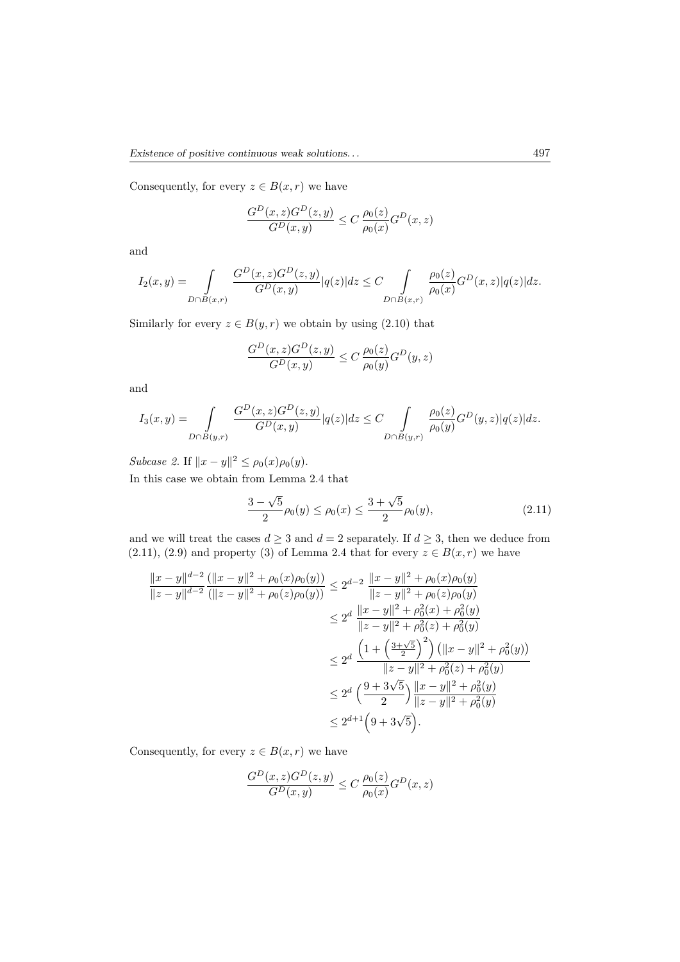Consequently, for every  $z \in B(x, r)$  we have

$$
\frac{G^D(x,z)G^D(z,y)}{G^D(x,y)} \le C \frac{\rho_0(z)}{\rho_0(x)} G^D(x,z)
$$

and

$$
I_2(x,y)=\int\limits_{D\cap B(x,r)}\frac{G^D(x,z)G^D(z,y)}{G^D(x,y)}|q(z)|dz\leq C\int\limits_{D\cap B(x,r)}\frac{\rho_0(z)}{\rho_0(x)}G^D(x,z)|q(z)|dz.
$$

Similarly for every  $z \in B(y, r)$  we obtain by using (2.10) that

$$
\frac{G^D(x,z)G^D(z,y)}{G^D(x,y)} \le C \frac{\rho_0(z)}{\rho_0(y)}G^D(y,z)
$$

and

$$
I_3(x,y) = \int_{D \cap B(y,r)} \frac{G^D(x,z)G^D(z,y)}{G^D(x,y)} |q(z)|dz \leq C \int_{D \cap B(y,r)} \frac{\rho_0(z)}{\rho_0(y)}G^D(y,z)|q(z)|dz.
$$

*Subcase 2.* If  $||x - y||^2 \le \rho_0(x)\rho_0(y)$ .

In this case we obtain from Lemma 2.4 that

$$
\frac{3-\sqrt{5}}{2}\rho_0(y) \le \rho_0(x) \le \frac{3+\sqrt{5}}{2}\rho_0(y),\tag{2.11}
$$

and we will treat the cases  $d \geq 3$  and  $d = 2$  separately. If  $d \geq 3$ , then we deduce from (2.11), (2.9) and property (3) of Lemma 2.4 that for every  $z \in B(x, r)$  we have

$$
\frac{\|x-y\|^{d-2}}{\|z-y\|^{d-2}} \frac{(\|x-y\|^2 + \rho_0(x)\rho_0(y))}{(\|z-y\|^2 + \rho_0(z)\rho_0(y))} \le 2^{d-2} \frac{\|x-y\|^2 + \rho_0(x)\rho_0(y)}{\|z-y\|^2 + \rho_0(z)\rho_0(y)}
$$
  
\n
$$
\le 2^d \frac{\|x-y\|^2 + \rho_0^2(x) + \rho_0^2(y)}{\|z-y\|^2 + \rho_0^2(z) + \rho_0^2(y)}
$$
  
\n
$$
\le 2^d \frac{\left(1 + \left(\frac{3+\sqrt{5}}{2}\right)^2\right) (\|x-y\|^2 + \rho_0^2(y))}{\|z-y\|^2 + \rho_0^2(z) + \rho_0^2(y)}
$$
  
\n
$$
\le 2^d \left(\frac{9 + 3\sqrt{5}}{2}\right) \frac{\|x-y\|^2 + \rho_0^2(y)}{\|z-y\|^2 + \rho_0^2(y)}
$$
  
\n
$$
\le 2^{d+1} \left(9 + 3\sqrt{5}\right).
$$

Consequently, for every  $z \in B(x, r)$  we have

$$
\frac{G^D(x,z)G^D(z,y)}{G^D(x,y)} \le C \frac{\rho_0(z)}{\rho_0(x)} G^D(x,z)
$$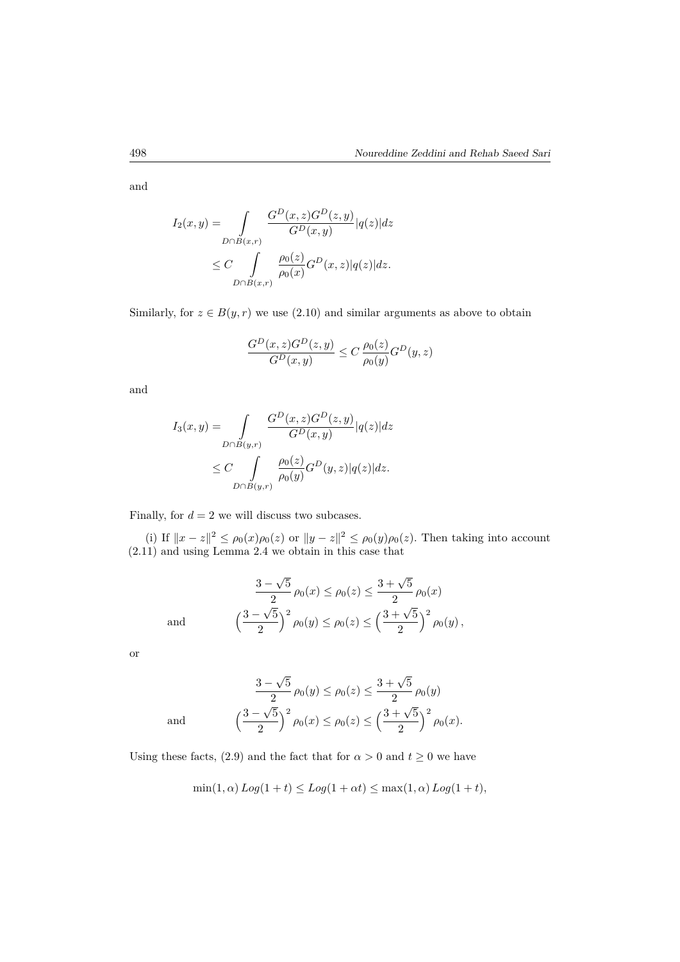and

$$
I_2(x,y) = \int_{D \cap B(x,r)} \frac{G^D(x,z)G^D(z,y)}{G^D(x,y)} |q(z)|dz
$$
  
 
$$
\leq C \int_{D \cap B(x,r)} \frac{\rho_0(z)}{\rho_0(x)}G^D(x,z)|q(z)|dz.
$$

Similarly, for  $z \in B(y, r)$  we use (2.10) and similar arguments as above to obtain

$$
\frac{G^D(x,z)G^D(z,y)}{G^D(x,y)} \le C \frac{\rho_0(z)}{\rho_0(y)}G^D(y,z)
$$

and

$$
I_3(x,y) = \int_{D \cap B(y,r)} \frac{G^D(x,z)G^D(z,y)}{G^D(x,y)} |q(z)|dz
$$
  
 
$$
\leq C \int_{D \cap B(y,r)} \frac{\rho_0(z)}{\rho_0(y)}G^D(y,z)|q(z)|dz.
$$

Finally, for  $d = 2$  we will discuss two subcases.

(i) If  $||x - z||^2$  ≤  $\rho_0(x)\rho_0(z)$  or  $||y - z||^2$  ≤  $\rho_0(y)\rho_0(z)$ . Then taking into account (2.11) and using Lemma 2.4 we obtain in this case that

$$
\frac{3-\sqrt{5}}{2}\rho_0(x) \le \rho_0(z) \le \frac{3+\sqrt{5}}{2}\rho_0(x)
$$

$$
\left(\frac{3-\sqrt{5}}{2}\right)^2 \rho_0(y) \le \rho_0(z) \le \left(\frac{3+\sqrt{5}}{2}\right)^2 \rho_0(y),
$$

or

and

and

$$
\frac{3-\sqrt{5}}{2}\rho_0(y) \le \rho_0(z) \le \frac{3+\sqrt{5}}{2}\rho_0(y)
$$

$$
\left(\frac{3-\sqrt{5}}{2}\right)^2 \rho_0(x) \le \rho_0(z) \le \left(\frac{3+\sqrt{5}}{2}\right)^2 \rho_0(x).
$$

Using these facts, (2.9) and the fact that for  $\alpha > 0$  and  $t \ge 0$  we have

$$
\min(1,\alpha) Log(1+t) \le Log(1+\alpha t) \le \max(1,\alpha) Log(1+t),
$$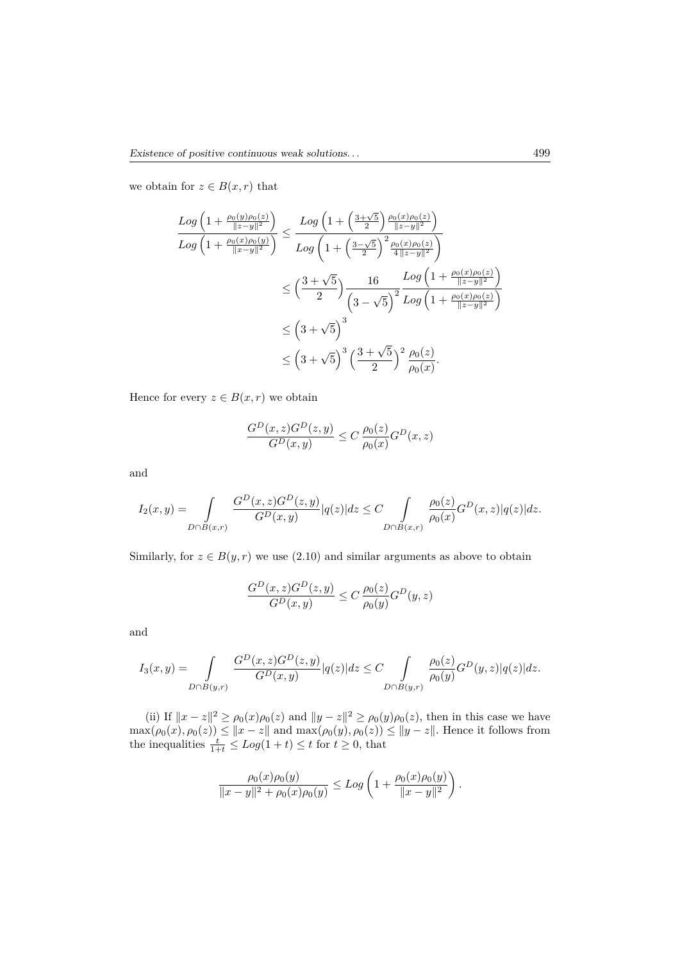we obtain for  $z \in B(x,r)$  that

$$
\frac{Log\left(1+\frac{\rho_0(y)\rho_0(z)}{\|z-y\|^2}\right)}{Log\left(1+\frac{\rho_0(x)\rho_0(y)}{\|x-y\|^2}\right)} \le \frac{Log\left(1+\left(\frac{3+\sqrt{5}}{2}\right)\frac{\rho_0(x)\rho_0(z)}{\|z-y\|^2}\right)}{Log\left(1+\left(\frac{3-\sqrt{5}}{2}\right)^2\frac{\rho_0(x)\rho_0(z)}{4\|z-y\|^2}\right)}
$$
  

$$
\le \left(\frac{3+\sqrt{5}}{2}\right)\frac{16}{\left(3-\sqrt{5}\right)^2}\frac{Log\left(1+\frac{\rho_0(x)\rho_0(z)}{\|z-y\|^2}\right)}{Log\left(1+\frac{\rho_0(x)\rho_0(z)}{\|z-y\|^2}\right)}
$$
  

$$
\le \left(3+\sqrt{5}\right)^3
$$
  

$$
\le \left(3+\sqrt{5}\right)^3\left(\frac{3+\sqrt{5}}{2}\right)^2\frac{\rho_0(z)}{\rho_0(x)}.
$$

Hence for every  $z \in B(x,r)$  we obtain

$$
\frac{G^D(x,z)G^D(z,y)}{G^D(x,y)} \le C \frac{\rho_0(z)}{\rho_0(x)}G^D(x,z)
$$

and

$$
I_2(x,y)=\int\limits_{D\cap B(x,r)}\frac{G^D(x,z)G^D(z,y)}{G^D(x,y)}|q(z)|dz\leq C\int\limits_{D\cap B(x,r)}\frac{\rho_0(z)}{\rho_0(x)}G^D(x,z)|q(z)|dz.
$$

Similarly, for  $z \in B(y, r)$  we use (2.10) and similar arguments as above to obtain

$$
\frac{G^D(x,z)G^D(z,y)}{G^D(x,y)} \le C \frac{\rho_0(z)}{\rho_0(y)}G^D(y,z)
$$

and

$$
I_3(x,y) = \int_{D \cap B(y,r)} \frac{G^D(x,z)G^D(z,y)}{G^D(x,y)} |q(z)|dz \leq C \int_{D \cap B(y,r)} \frac{\rho_0(z)}{\rho_0(y)}G^D(y,z)|q(z)|dz.
$$

(ii) If  $||x - z||^2 \ge \rho_0(x)\rho_0(z)$  and  $||y - z||^2 \ge \rho_0(y)\rho_0(z)$ , then in this case we have  $\max(\rho_0(x), \rho_0(z)) \le ||x - z||$  and  $\max(\rho_0(y), \rho_0(z)) \le ||y - z||$ . Hence it follows from the inequalities  $\frac{t}{1+t} \le Log(1+t) \le t$  for  $t \ge 0$ , that

$$
\frac{\rho_0(x)\rho_0(y)}{\|x-y\|^2+\rho_0(x)\rho_0(y)} \le Log\left(1+\frac{\rho_0(x)\rho_0(y)}{\|x-y\|^2}\right).
$$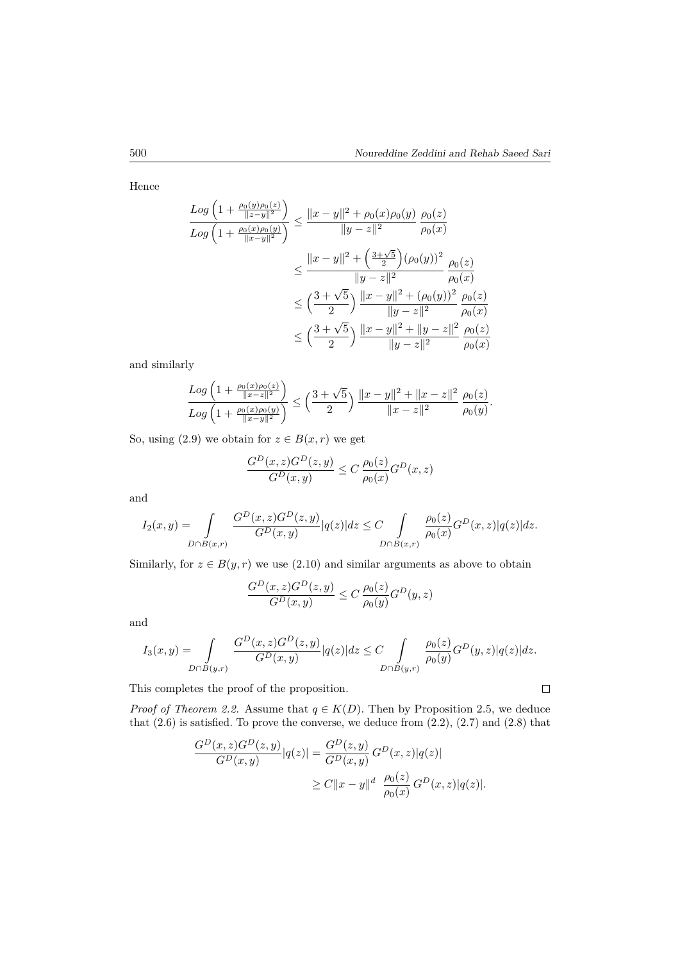Hence

$$
\frac{Log\left(1+\frac{\rho_0(y)\rho_0(z)}{\|z-y\|^2}\right)}{Log\left(1+\frac{\rho_0(x)\rho_0(y)}{\|x-y\|^2}\right)} \le \frac{\|x-y\|^2 + \rho_0(x)\rho_0(y)}{\|y-z\|^2} \frac{\rho_0(z)}{\rho_0(x)}
$$
  

$$
\le \frac{\|x-y\|^2 + \left(\frac{3+\sqrt{5}}{2}\right)(\rho_0(y))^2}{\|y-z\|^2} \frac{\rho_0(z)}{\rho_0(x)}
$$
  

$$
\le \left(\frac{3+\sqrt{5}}{2}\right) \frac{\|x-y\|^2 + (\rho_0(y))^2}{\|y-z\|^2} \frac{\rho_0(z)}{\rho_0(x)}
$$
  

$$
\le \left(\frac{3+\sqrt{5}}{2}\right) \frac{\|x-y\|^2 + \|y-z\|^2}{\|y-z\|^2} \frac{\rho_0(z)}{\rho_0(x)}
$$

and similarly

$$
\frac{Log\left(1+\frac{\rho_0(x)\rho_0(z)}{\|x-z\|^2}\right)}{Log\left(1+\frac{\rho_0(x)\rho_0(y)}{\|x-y\|^2}\right)} \le \left(\frac{3+\sqrt{5}}{2}\right) \frac{\|x-y\|^2 + \|x-z\|^2}{\|x-z\|^2} \frac{\rho_0(z)}{\rho_0(y)}.
$$

So, using (2.9) we obtain for  $z \in B(x, r)$  we get

$$
\frac{G^D(x,z)G^D(z,y)}{G^D(x,y)} \le C \frac{\rho_0(z)}{\rho_0(x)} G^D(x,z)
$$

and

$$
I_2(x,y) = \int_{D \cap B(x,r)} \frac{G^D(x,z)G^D(z,y)}{G^D(x,y)} |q(z)|dz \leq C \int_{D \cap B(x,r)} \frac{\rho_0(z)}{\rho_0(x)}G^D(x,z)|q(z)|dz.
$$

Similarly, for  $z \in B(y, r)$  we use  $(2.10)$  and similar arguments as above to obtain

$$
\frac{G^D(x,z)G^D(z,y)}{G^D(x,y)} \le C \frac{\rho_0(z)}{\rho_0(y)} G^D(y,z)
$$

and

$$
I_3(x,y)=\int\limits_{D\cap B(y,r)}\frac{G^D(x,z)G^D(z,y)}{G^D(x,y)}|q(z)|dz\leq C\int\limits_{D\cap B(y,r)}\frac{\rho_0(z)}{\rho_0(y)}G^D(y,z)|q(z)|dz.
$$

This completes the proof of the proposition.

*Proof of Theorem 2.2.* Assume that  $q \in K(D)$ . Then by Proposition 2.5, we deduce that  $(2.6)$  is satisfied. To prove the converse, we deduce from  $(2.2)$ ,  $(2.7)$  and  $(2.8)$  that

$$
\frac{G^D(x, z)G^D(z, y)}{G^D(x, y)}|q(z)| = \frac{G^D(z, y)}{G^D(x, y)} G^D(x, z)|q(z)|
$$
  
 
$$
\geq C||x - y||^d \frac{\rho_0(z)}{\rho_0(x)} G^D(x, z)|q(z)|.
$$

 $\Box$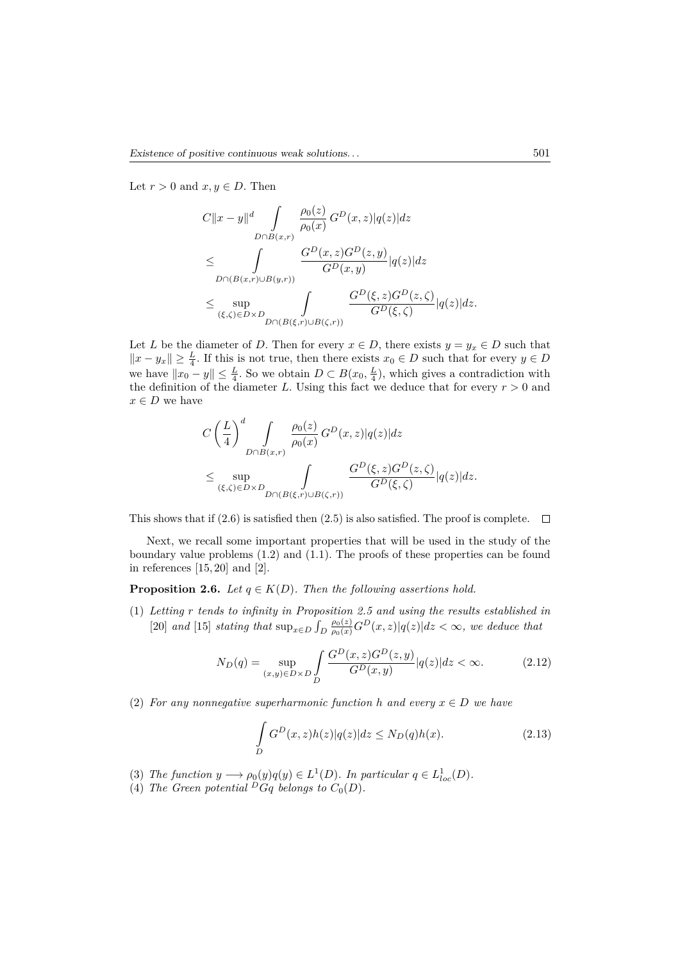Let  $r > 0$  and  $x, y \in D$ . Then

$$
C||x - y||^d \int_{D \cap B(x,r)} \frac{\rho_0(z)}{\rho_0(x)} G^D(x,z) |q(z)| dz
$$
  
\n
$$
\leq \int_{D \cap (B(x,r) \cup B(y,r))} \frac{G^D(x,z)G^D(z,y)}{G^D(x,y)} |q(z)| dz
$$
  
\n
$$
\leq \sup_{(\xi,\zeta) \in D \times D} \int_{D \cap (B(\xi,r) \cup B(\zeta,r))} \frac{G^D(\xi,z)G^D(z,\zeta)}{G^D(\xi,\zeta)} |q(z)| dz.
$$

Let *L* be the diameter of *D*. Then for every  $x \in D$ , there exists  $y = y_x \in D$  such that  $||x - y_x||$  ≥  $\frac{L}{4}$ . If this is not true, then there exists  $x_0 \in D$  such that for every  $y \in D$ we have  $||x_0 - y|| \leq \frac{L}{4}$ . So we obtain  $D \subset B(x_0, \frac{L}{4})$ , which gives a contradiction with the definition of the diameter *L*. Using this fact we deduce that for every  $r > 0$  and  $x \in D$  we have

$$
C\left(\frac{L}{4}\right)^d \int\limits_{D \cap B(x,r)} \frac{\rho_0(z)}{\rho_0(x)} G^D(x,z) |q(z)| dz
$$
  

$$
\leq \sup_{(\xi,\zeta) \in D \times D} \int\limits_{D \cap (B(\xi,r) \cup B(\zeta,r))} \frac{G^D(\xi,z) G^D(z,\zeta)}{G^D(\xi,\zeta)} |q(z)| dz.
$$

This shows that if (2.6) is satisfied then (2.5) is also satisfied. The proof is complete.  $\Box$ 

Next, we recall some important properties that will be used in the study of the boundary value problems (1*.*2) and (1.1). The proofs of these properties can be found in references  $[15, 20]$  and  $[2]$ .

**Proposition 2.6.** *Let*  $q \in K(D)$ *. Then the following assertions hold.* 

(1) *Letting r tends to infinity in Proposition 2.5 and using the results established in* [20] *and* [15] *stating that*  $\sup_{x \in D} \int_D$  $\frac{\rho_0(z)}{\rho_0(x)} G^D(x, z) |q(z)| dz < \infty$ , we deduce that

$$
N_D(q) = \sup_{(x,y)\in D \times D} \int_{D} \frac{G^D(x,z)G^D(z,y)}{G^D(x,y)} |q(z)| dz < \infty.
$$
 (2.12)

(2) For any nonnegative superharmonic function *h* and every  $x \in D$  we have

$$
\int_{D} G^{D}(x,z)h(z)|q(z)|dz \le N_D(q)h(x).
$$
\n(2.13)

- (3) *The function*  $y \longrightarrow \rho_0(y)q(y) \in L^1(D)$ *. In particular*  $q \in L^1_{loc}(D)$ *.*
- (4) The Green potential  $\overline{P}Gq$  belongs to  $C_0(D)$ .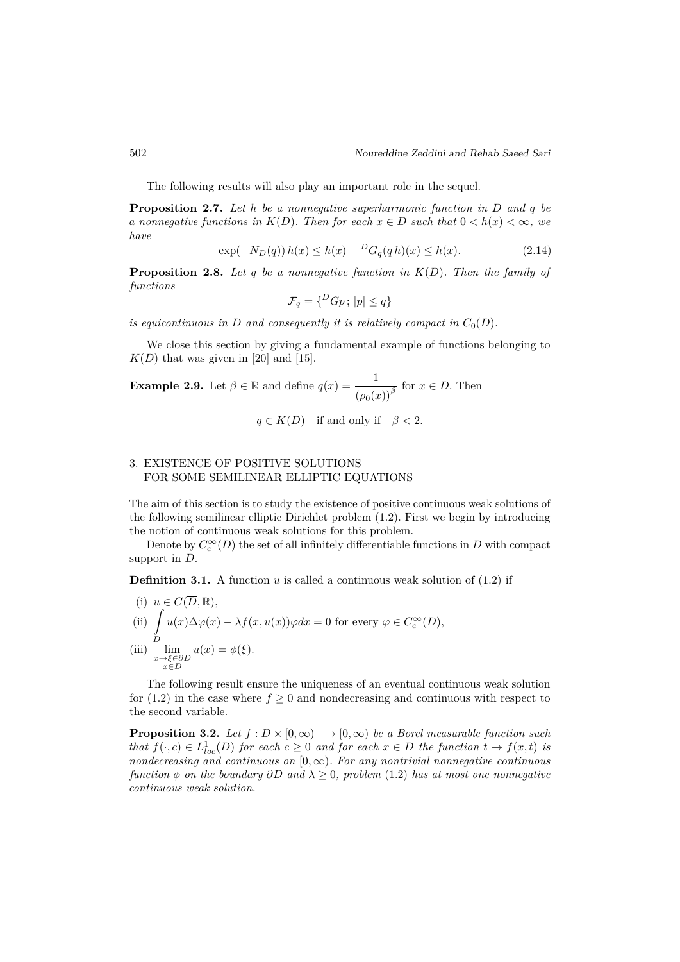The following results will also play an important role in the sequel.

**Proposition 2.7.** *Let h be a nonnegative superharmonic function in D and q be a* nonnegative functions in  $K(D)$ . Then for each  $x \in D$  such that  $0 \lt h(x) \lt \infty$ , we *have*

$$
\exp(-N_D(q))h(x) \le h(x) - {}^D G_q(qh)(x) \le h(x). \tag{2.14}
$$

**Proposition 2.8.** *Let q be a nonnegative function in K*(*D*)*. Then the family of functions*

$$
\mathcal{F}_q = \{^D G p \, ; \, |p| \le q \}
$$

*is equicontinuous in D and consequently it is relatively compact in*  $C_0(D)$ *.* 

We close this section by giving a fundamental example of functions belonging to  $K(D)$  that was given in [20] and [15].

**Example 2.9.** Let  $\beta \in \mathbb{R}$  and define  $q(x) = \frac{1}{(\rho_0(x))^{\beta}}$  for  $x \in D$ . Then

$$
q \in K(D) \quad \text{if and only if} \quad \beta < 2.
$$

#### 3. EXISTENCE OF POSITIVE SOLUTIONS FOR SOME SEMILINEAR ELLIPTIC EQUATIONS

The aim of this section is to study the existence of positive continuous weak solutions of the following semilinear elliptic Dirichlet problem (1*.*2). First we begin by introducing the notion of continuous weak solutions for this problem.

Denote by  $C_c^{\infty}(D)$  the set of all infinitely differentiable functions in  $D$  with compact support in *D*.

**Definition 3.1.** A function  $u$  is called a continuous weak solution of  $(1.2)$  if

(i) 
$$
u \in C(D, \mathbb{R}),
$$
  
\n(ii) 
$$
\int_{D} u(x) \Delta \varphi(x) - \lambda f(x, u(x)) \varphi dx = 0 \text{ for every } \varphi \in C_c^{\infty}(D),
$$
  
\n(iii) 
$$
\lim_{\substack{x \to \xi \in \partial D \\ x \in D}} u(x) = \phi(\xi).
$$

The following result ensure the uniqueness of an eventual continuous weak solution for  $(1.2)$  in the case where  $f \geq 0$  and nondecreasing and continuous with respect to the second variable.

**Proposition 3.2.** Let  $f : D \times [0, \infty) \longrightarrow [0, \infty)$  be a Borel measurable function such *that*  $f(\cdot, c) \in L^1_{loc}(D)$  *for each*  $c \geq 0$  *and for each*  $x \in D$  *the function*  $t \to f(x, t)$  *is nondecreasing and continuous on* [0*,* ∞)*. For any nontrivial nonnegative continuous function*  $\phi$  *on the boundary*  $\partial D$  *and*  $\lambda > 0$ *, problem* (1.2) *has at most one nonnegative continuous weak solution.*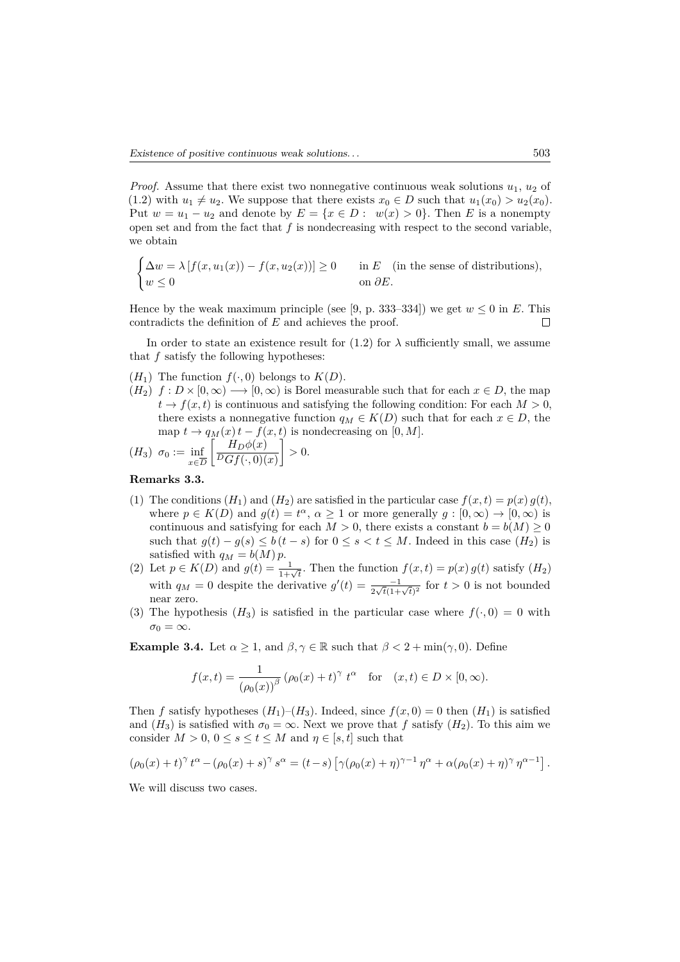*Proof.* Assume that there exist two nonnegative continuous weak solutions  $u_1$ ,  $u_2$  of  $(1.2)$  with  $u_1 \neq u_2$ . We suppose that there exists  $x_0 \in D$  such that  $u_1(x_0) > u_2(x_0)$ . Put  $w = u_1 - u_2$  and denote by  $E = \{x \in D : w(x) > 0\}$ . Then *E* is a nonempty open set and from the fact that *f* is nondecreasing with respect to the second variable, we obtain

$$
\begin{cases} \Delta w = \lambda \left[ f(x, u_1(x)) - f(x, u_2(x)) \right] \ge 0 & \text{in } E \quad \text{(in the sense of distributions)}, \\ w \le 0 & \text{on } \partial E. \end{cases}
$$

Hence by the weak maximum principle (see [9, p. 333–334]) we get  $w \le 0$  in *E*. This contradicts the definition of *E* and achieves the proof. contradicts the definition of *E* and achieves the proof.

In order to state an existence result for  $(1.2)$  for  $\lambda$  sufficiently small, we assume that *f* satisfy the following hypotheses:

- $(H_1)$  The function  $f(\cdot, 0)$  belongs to  $K(D)$ .
- $(H_2)$   $f: D \times [0, \infty) \longrightarrow [0, \infty)$  is Borel measurable such that for each  $x \in D$ , the map  $t \to f(x, t)$  is continuous and satisfying the following condition: For each  $M > 0$ , there exists a nonnegative function  $q_M \in K(D)$  such that for each  $x \in D$ , the map  $t \to q_M(x) t - f(x, t)$  is nondecreasing on [0*, M*].

$$
(H_3) \ \sigma_0 := \inf_{x \in \overline{D}} \left[ \frac{H_D \phi(x)}{P G f(\cdot, 0)(x)} \right] > 0.
$$

#### **Remarks 3.3.**

- (1) The conditions  $(H_1)$  and  $(H_2)$  are satisfied in the particular case  $f(x,t) = p(x) g(t)$ , where  $p \in K(D)$  and  $g(t) = t^{\alpha}, \alpha \ge 1$  or more generally  $g : [0, \infty) \to [0, \infty)$  is continuous and satisfying for each  $M > 0$ , there exists a constant  $b = b(M) \geq 0$ such that  $g(t) - g(s) \leq b(t-s)$  for  $0 \leq s < t \leq M$ . Indeed in this case  $(H_2)$  is satisfied with  $q_M = b(M)p$ .
- (2) Let  $p \in K(D)$  and  $g(t) = \frac{1}{1+\sqrt{t}}$ . Then the function  $f(x, t) = p(x) g(t)$  satisfy  $(H_2)$ with  $q_M = 0$  despite the derivative  $g'(t) = \frac{-1}{2\sqrt{t}(1+\sqrt{t})^2}$  for  $t > 0$  is not bounded near zero.
- (3) The hypothesis  $(H_3)$  is satisfied in the particular case where  $f(\cdot, 0) = 0$  with  $\sigma_0 = \infty$ .

**Example 3.4.** Let  $\alpha \geq 1$ , and  $\beta, \gamma \in \mathbb{R}$  such that  $\beta < 2 + \min(\gamma, 0)$ . Define

$$
f(x,t) = \frac{1}{(\rho_0(x))^\beta} (\rho_0(x) + t)^\gamma t^\alpha \quad \text{for} \quad (x,t) \in D \times [0,\infty).
$$

Then *f* satisfy hypotheses  $(H_1)$ – $(H_3)$ . Indeed, since  $f(x, 0) = 0$  then  $(H_1)$  is satisfied and  $(H_3)$  is satisfied with  $\sigma_0 = \infty$ . Next we prove that *f* satisfy  $(H_2)$ . To this aim we consider  $M > 0$ ,  $0 \le s \le t \le M$  and  $\eta \in [s, t]$  such that

$$
(\rho_0(x) + t)^{\gamma} t^{\alpha} - (\rho_0(x) + s)^{\gamma} s^{\alpha} = (t - s) [\gamma(\rho_0(x) + \eta)^{\gamma - 1} \eta^{\alpha} + \alpha(\rho_0(x) + \eta)^{\gamma} \eta^{\alpha - 1}].
$$

We will discuss two cases.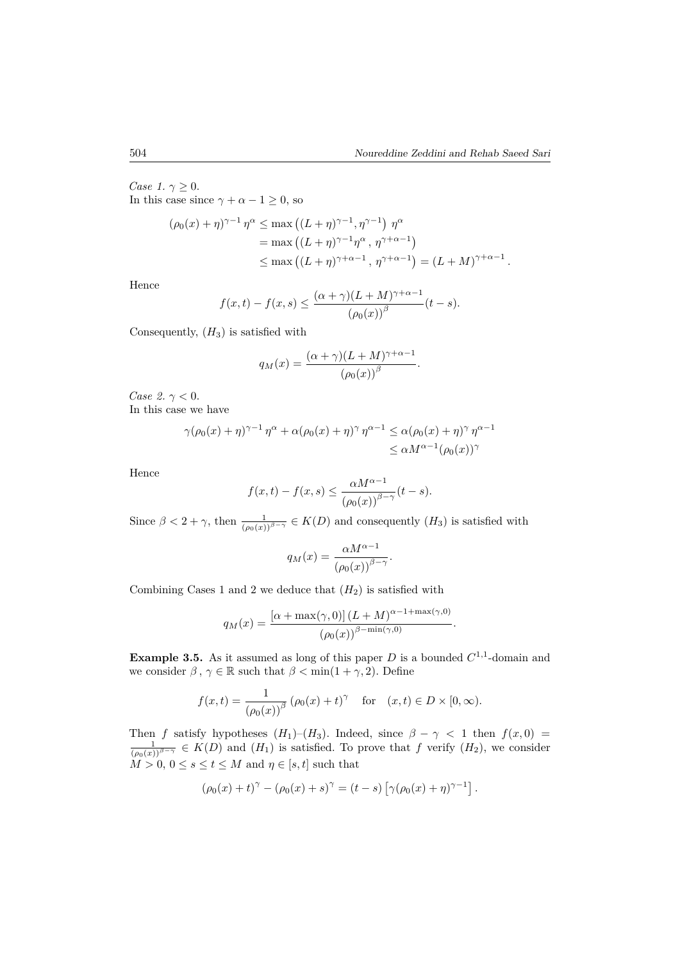*.*

*Case 1.*  $\gamma \geq 0$ . In this case since  $\gamma + \alpha - 1 \geq 0$ , so

$$
(\rho_0(x) + \eta)^{\gamma - 1} \eta^{\alpha} \le \max ((L + \eta)^{\gamma - 1}, \eta^{\gamma - 1}) \eta^{\alpha}
$$
  
= max  $((L + \eta)^{\gamma - 1} \eta^{\alpha}, \eta^{\gamma + \alpha - 1})$   
 $\le \max ((L + \eta)^{\gamma + \alpha - 1}, \eta^{\gamma + \alpha - 1}) = (L + M)^{\gamma + \alpha - 1}.$ 

Hence

$$
f(x,t) - f(x,s) \le \frac{(\alpha + \gamma)(L+M)^{\gamma + \alpha - 1}}{(\rho_0(x))^\beta} (t - s).
$$

Consequently,  $(H_3)$  is satisfied with

$$
q_M(x) = \frac{(\alpha + \gamma)(L + M)^{\gamma + \alpha - 1}}{(\rho_0(x))^{\beta}}
$$

*Case 2.*  $\gamma < 0$ . In this case we have

$$
\gamma(\rho_0(x)+\eta)^{\gamma-1}\eta^{\alpha} + \alpha(\rho_0(x)+\eta)^{\gamma}\eta^{\alpha-1} \leq \alpha(\rho_0(x)+\eta)^{\gamma}\eta^{\alpha-1}
$$
  

$$
\leq \alpha M^{\alpha-1}(\rho_0(x))^{\gamma}
$$

Hence

$$
f(x,t) - f(x,s) \le \frac{\alpha M^{\alpha - 1}}{\left(\rho_0(x)\right)^{\beta - \gamma}}(t - s).
$$

Since  $\beta < 2 + \gamma$ , then  $\frac{1}{(\rho_0(x))^{\beta-\gamma}} \in K(D)$  and consequently  $(H_3)$  is satisfied with

$$
q_M(x) = \frac{\alpha M^{\alpha - 1}}{\left(\rho_0(x)\right)^{\beta - \gamma}}.
$$

Combining Cases 1 and 2 we deduce that  $(H_2)$  is satisfied with

$$
q_M(x) = \frac{\left[\alpha + \max(\gamma, 0)\right] (L + M)^{\alpha - 1 + \max(\gamma, 0)}}{\left(\rho_0(x)\right)^{\beta - \min(\gamma, 0)}}.
$$

**Example 3.5.** As it assumed as long of this paper  $D$  is a bounded  $C^{1,1}$ -domain and we consider  $\beta$ ,  $\gamma \in \mathbb{R}$  such that  $\beta < \min(1 + \gamma, 2)$ . Define

$$
f(x,t) = \frac{1}{(\rho_0(x))^\beta} (\rho_0(x) + t)^\gamma
$$
 for  $(x,t) \in D \times [0,\infty)$ .

Then f satisfy hypotheses  $(H_1)-(H_3)$ . Indeed, since  $\beta - \gamma < 1$  then  $f(x,0) = \frac{1}{(\rho_0(x))^{\beta-\gamma}} \in K(D)$  and  $(H_1)$  is satisfied. To prove that f verify  $(H_2)$ , we consider  $M > 0, 0 \le s \le t \le M$  and  $\eta \in [s, t]$  such that

$$
(\rho_0(x) + t)^{\gamma} - (\rho_0(x) + s)^{\gamma} = (t - s) [\gamma(\rho_0(x) + \eta)^{\gamma - 1}].
$$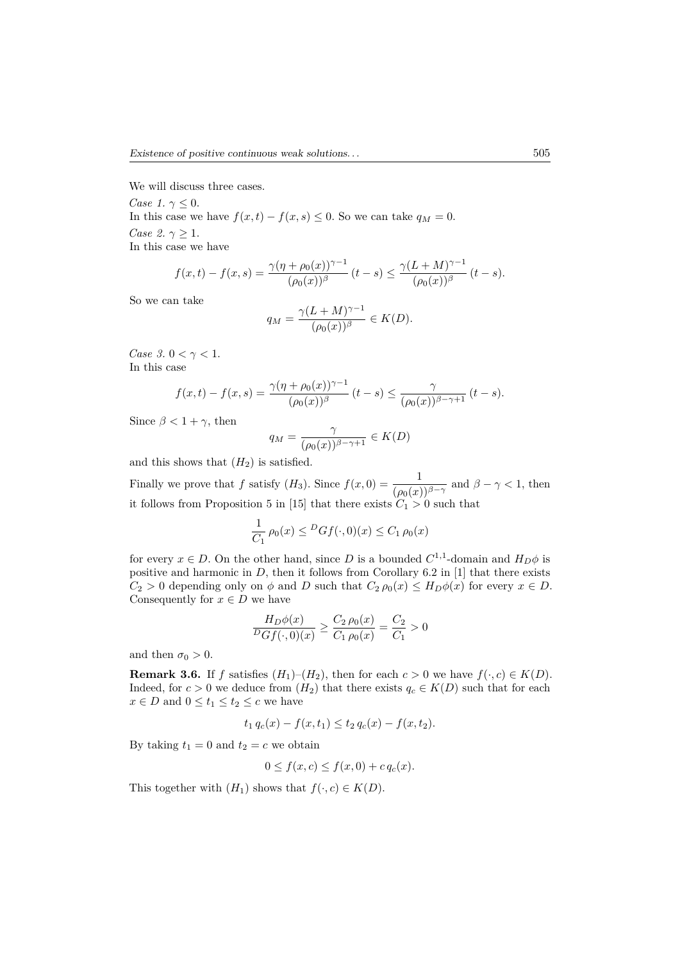We will discuss three cases.

*Case 1.*  $\gamma \leq 0$ . In this case we have  $f(x,t) - f(x,s) \leq 0$ . So we can take  $q_M = 0$ . *Case 2.*  $\gamma > 1$ . In this case we have

$$
f(x,t) - f(x,s) = \frac{\gamma(\eta + \rho_0(x))^{\gamma - 1}}{(\rho_0(x))^\beta} (t - s) \le \frac{\gamma(L + M)^{\gamma - 1}}{(\rho_0(x))^\beta} (t - s).
$$

So we can take

$$
q_M = \frac{\gamma (L+M)^{\gamma-1}}{(\rho_0(x))^\beta} \in K(D).
$$

*Case 3.*  $0 < \gamma < 1$ . In this case

$$
f(x,t) - f(x,s) = \frac{\gamma(\eta + \rho_0(x))^{\gamma - 1}}{(\rho_0(x))^{\beta}} (t - s) \le \frac{\gamma}{(\rho_0(x))^{\beta - \gamma + 1}} (t - s).
$$

Since  $\beta < 1 + \gamma$ , then

$$
q_M = \frac{\gamma}{(\rho_0(x))^{\beta - \gamma + 1}} \in K(D)
$$

and this shows that  $(H_2)$  is satisfied.

Finally we prove that *f* satisfy  $(H_3)$ . Since  $f(x, 0) = \frac{1}{(\rho_0(x))^{\beta - \gamma}}$  and  $\beta - \gamma < 1$ , then it follows from Proposition 5 in [15] that there exists  $C_1 > 0$  such that

$$
\frac{1}{C_1} \rho_0(x) \leq^D Gf(\cdot, 0)(x) \leq C_1 \rho_0(x)
$$

for every  $x \in D$ . On the other hand, since *D* is a bounded  $C^{1,1}$ -domain and  $H_D \phi$  is positive and harmonic in *D*, then it follows from Corollary 6.2 in [1] that there exists  $C_2 > 0$  depending only on  $\phi$  and *D* such that  $C_2 \rho_0(x) \leq H_D \phi(x)$  for every  $x \in D$ . Consequently for  $x \in D$  we have

$$
\frac{H_D \phi(x)}{D G f(\cdot, 0)(x)} \ge \frac{C_2 \rho_0(x)}{C_1 \rho_0(x)} = \frac{C_2}{C_1} > 0
$$

and then  $\sigma_0 > 0$ .

**Remark 3.6.** If *f* satisfies  $(H_1)$ – $(H_2)$ , then for each  $c > 0$  we have  $f(\cdot, c) \in K(D)$ . Indeed, for  $c > 0$  we deduce from  $(H_2)$  that there exists  $q_c \in K(D)$  such that for each  $x \in D$  and  $0 \le t_1 \le t_2 \le c$  we have

$$
t_1 q_c(x) - f(x, t_1) \le t_2 q_c(x) - f(x, t_2).
$$

By taking  $t_1 = 0$  and  $t_2 = c$  we obtain

$$
0 \le f(x, c) \le f(x, 0) + c q_c(x).
$$

This together with  $(H_1)$  shows that  $f(\cdot, c) \in K(D)$ .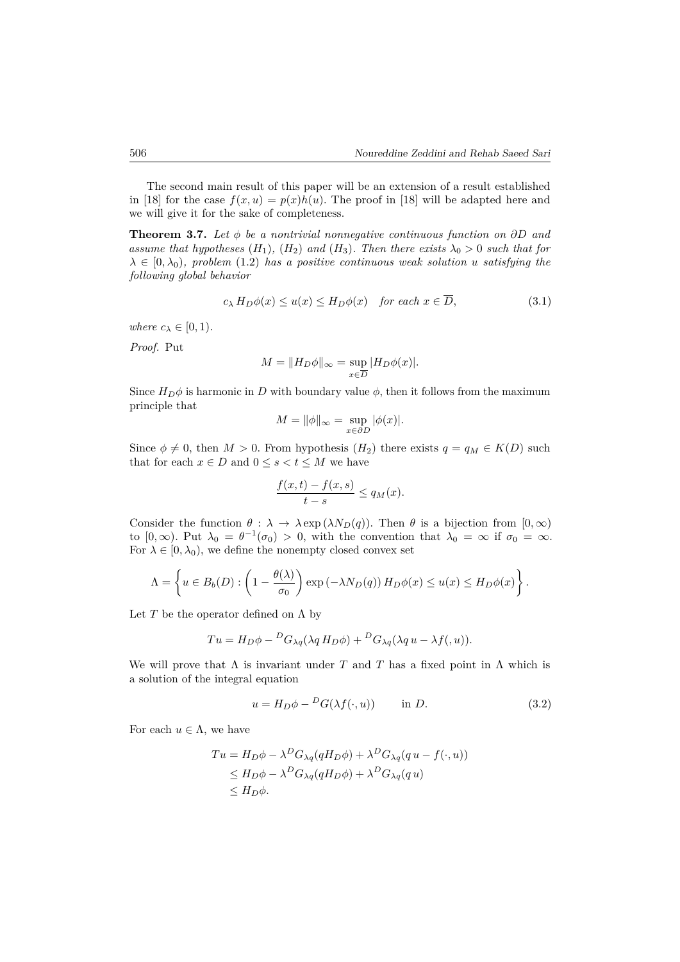The second main result of this paper will be an extension of a result established in [18] for the case  $f(x, u) = p(x)h(u)$ . The proof in [18] will be adapted here and we will give it for the sake of completeness.

**Theorem 3.7.** *Let ϕ be a nontrivial nonnegative continuous function on ∂D and assume that hypotheses*  $(H_1)$ *,*  $(H_2)$  *and*  $(H_3)$ *. Then there exists*  $\lambda_0 > 0$  *such that for*  $\lambda \in [0, \lambda_0)$ *, problem* (1.2) *has a positive continuous weak solution u satisfying the following global behavior*

$$
c_{\lambda} H_D \phi(x) \le u(x) \le H_D \phi(x) \quad \text{for each } x \in \overline{D}, \tag{3.1}
$$

*where*  $c_{\lambda} \in [0, 1)$ *.* 

*Proof.* Put

$$
M = \|H_D \phi\|_{\infty} = \sup_{x \in \overline{D}} |H_D \phi(x)|.
$$

Since  $H_D\phi$  is harmonic in *D* with boundary value  $\phi$ , then it follows from the maximum principle that

$$
M = \|\phi\|_{\infty} = \sup_{x \in \partial D} |\phi(x)|.
$$

Since  $\phi \neq 0$ , then  $M > 0$ . From hypothesis  $(H_2)$  there exists  $q = q_M \in K(D)$  such that for each  $x \in D$  and  $0 \le s < t \le M$  we have

$$
\frac{f(x,t) - f(x,s)}{t - s} \le q_M(x).
$$

Consider the function  $\theta : \lambda \to \lambda \exp(\lambda N_D(q))$ . Then  $\theta$  is a bijection from  $[0, \infty)$ to  $[0, \infty)$ . Put  $\lambda_0 = \theta^{-1}(\sigma_0) > 0$ , with the convention that  $\lambda_0 = \infty$  if  $\sigma_0 = \infty$ . For  $\lambda \in [0, \lambda_0)$ , we define the nonempty closed convex set

$$
\Lambda = \left\{ u \in B_b(D) : \left(1 - \frac{\theta(\lambda)}{\sigma_0}\right) \exp\left(-\lambda N_D(q)\right) H_D \phi(x) \le u(x) \le H_D \phi(x)\right\}.
$$

Let  $T$  be the operator defined on  $\Lambda$  by

$$
Tu = H_D \phi - {}^D G_{\lambda q} (\lambda q H_D \phi) + {}^D G_{\lambda q} (\lambda q u - \lambda f(u)).
$$

We will prove that  $\Lambda$  is invariant under  $T$  and  $T$  has a fixed point in  $\Lambda$  which is a solution of the integral equation

$$
u = H_D \phi - \,^D G(\lambda f(\cdot, u)) \qquad \text{in } D. \tag{3.2}
$$

For each  $u \in \Lambda$ , we have

$$
Tu = H_D \phi - \lambda^D G_{\lambda q} (qH_D \phi) + \lambda^D G_{\lambda q} (q u - f(\cdot, u))
$$
  
\n
$$
\leq H_D \phi - \lambda^D G_{\lambda q} (qH_D \phi) + \lambda^D G_{\lambda q} (q u)
$$
  
\n
$$
\leq H_D \phi.
$$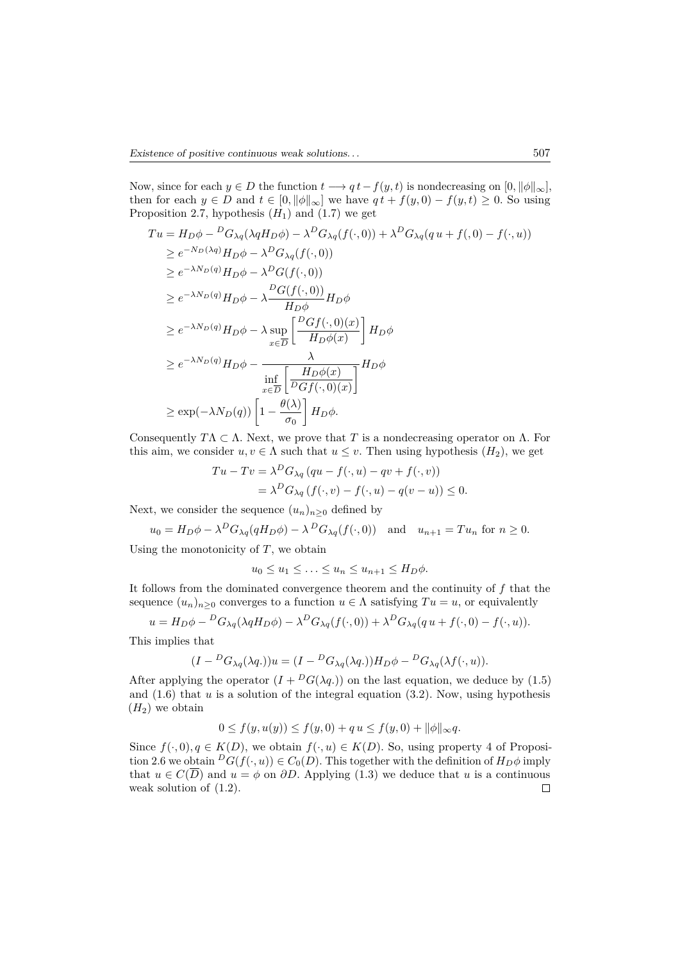Now, since for each  $y \in D$  the function  $t \longrightarrow qt - f(y, t)$  is nondecreasing on  $[0, ||\phi||_{\infty}]$ , then for each  $y \in D$  and  $t \in [0, ||\phi||_{\infty}]$  we have  $qt + f(y, 0) - f(y, t) \geq 0$ . So using Proposition 2.7, hypothesis  $(H_1)$  and  $(1.7)$  we get

$$
Tu = H_D \phi - {}^D G_{\lambda q} (\lambda q H_D \phi) - \lambda {}^D G_{\lambda q} (f(\cdot, 0)) + \lambda {}^D G_{\lambda q} (q u + f(\cdot, 0) - f(\cdot, u))
$$
  
\n
$$
\geq e^{-N_D(\lambda q)} H_D \phi - \lambda {}^D G_{\lambda q} (f(\cdot, 0))
$$
  
\n
$$
\geq e^{-\lambda N_D(q)} H_D \phi - \lambda {}^D G(f(\cdot, 0))
$$
  
\n
$$
\geq e^{-\lambda N_D(q)} H_D \phi - \lambda \frac{{}^D G(f(\cdot, 0))}{H_D \phi} H_D \phi
$$
  
\n
$$
\geq e^{-\lambda N_D(q)} H_D \phi - \lambda \sup_{x \in \overline{D}} \left[ \frac{{}^D G f(\cdot, 0)(x)}{H_D \phi(x)} \right] H_D \phi
$$
  
\n
$$
\geq e^{-\lambda N_D(q)} H_D \phi - \frac{\lambda}{\inf_{x \in \overline{D}} \left[ \frac{H_D \phi(x)}{D G f(\cdot, 0)(x)} \right]} H_D \phi
$$
  
\n
$$
\geq \exp(-\lambda N_D(q)) \left[ 1 - \frac{\theta(\lambda)}{\sigma_0} \right] H_D \phi.
$$

Consequently  $T\Lambda \subset \Lambda$ . Next, we prove that T is a nondecreasing operator on  $\Lambda$ . For this aim, we consider  $u, v \in \Lambda$  such that  $u \leq v$ . Then using hypothesis  $(H_2)$ , we get

$$
Tu - Tv = \lambda^D G_{\lambda q} (qu - f(\cdot, u) - qv + f(\cdot, v))
$$
  
=  $\lambda^D G_{\lambda q} (f(\cdot, v) - f(\cdot, u) - q(v - u)) \le 0.$ 

Next, we consider the sequence  $(u_n)_{n\geq 0}$  defined by

$$
u_0 = H_D \phi - \lambda^D G_{\lambda q}(qH_D \phi) - \lambda^D G_{\lambda q}(f(\cdot, 0)) \quad \text{and} \quad u_{n+1} = Tu_n \text{ for } n \ge 0.
$$

Using the monotonicity of  $T$ , we obtain

$$
u_0 \le u_1 \le \ldots \le u_n \le u_{n+1} \le H_D \phi.
$$

It follows from the dominated convergence theorem and the continuity of *f* that the sequence  $(u_n)_{n>0}$  converges to a function  $u \in \Lambda$  satisfying  $Tu = u$ , or equivalently

$$
u = H_D \phi - {}^D G_{\lambda q} (\lambda q H_D \phi) - \lambda {}^D G_{\lambda q} (f(\cdot, 0)) + \lambda {}^D G_{\lambda q} (q u + f(\cdot, 0) - f(\cdot, u)).
$$

This implies that

$$
(I - {}^{D}G_{\lambda q}(\lambda q.))u = (I - {}^{D}G_{\lambda q}(\lambda q.))H_D\phi - {}^{D}G_{\lambda q}(\lambda f(\cdot, u)).
$$

After applying the operator  $(I + {}^D G(\lambda q.))$  on the last equation, we deduce by (1.5) and  $(1.6)$  that  $u$  is a solution of the integral equation  $(3.2)$ . Now, using hypothesis  $(H_2)$  we obtain

$$
0 \le f(y, u(y)) \le f(y, 0) + q u \le f(y, 0) + ||\phi||_{\infty} q.
$$

Since  $f(\cdot, 0), q \in K(D)$ , we obtain  $f(\cdot, u) \in K(D)$ . So, using property 4 of Proposition 2.6 we obtain  ${}^D G(f(\cdot, u)) \in C_0(D)$ . This together with the definition of  $H_D\phi$  imply that *u* ∈ *C*( $\overline{D}$ ) and *u* =  $\phi$  on *∂D*. Applying (1.3) we deduce that *u* is a continuous weak solution of (1.2). weak solution of (1.2).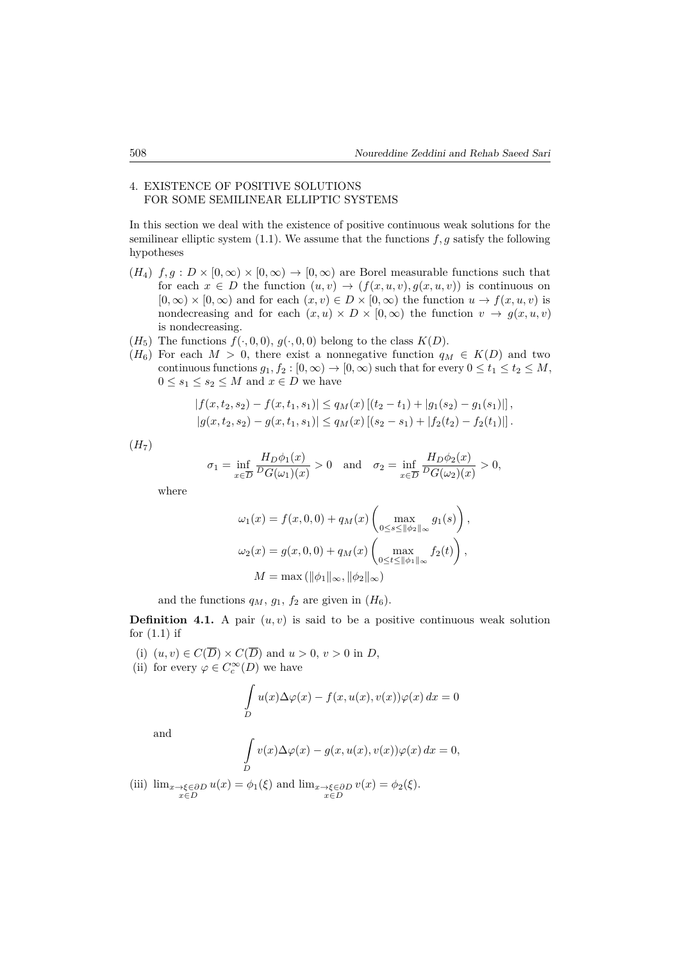## 4. EXISTENCE OF POSITIVE SOLUTIONS FOR SOME SEMILINEAR ELLIPTIC SYSTEMS

In this section we deal with the existence of positive continuous weak solutions for the semilinear elliptic system  $(1.1)$ . We assume that the functions  $f, g$  satisfy the following hypotheses

- $(H_4)$   $f, q : D \times [0, \infty) \times [0, \infty) \rightarrow [0, \infty)$  are Borel measurable functions such that for each  $x \in D$  the function  $(u, v) \rightarrow (f(x, u, v), g(x, u, v))$  is continuous on  $[0, \infty) \times [0, \infty)$  and for each  $(x, v) \in D \times [0, \infty)$  the function  $u \to f(x, u, v)$  is nondecreasing and for each  $(x, u) \times D \times [0, \infty)$  the function  $v \to g(x, u, v)$ is nondecreasing.
- ( $H_5$ ) The functions  $f(\cdot, 0, 0), g(\cdot, 0, 0)$  belong to the class  $K(D)$ .
- ( $H_6$ ) For each  $M > 0$ , there exist a nonnegative function  $q_M \in K(D)$  and two continuous functions  $g_1, f_2 : [0, \infty) \to [0, \infty)$  such that for every  $0 \le t_1 \le t_2 \le M$ ,  $0 \leq s_1 \leq s_2 \leq M$  and  $x \in D$  we have

$$
|f(x,t_2,s_2) - f(x,t_1,s_1)| \le q_M(x) [(t_2 - t_1) + |g_1(s_2) - g_1(s_1)|],
$$
  

$$
|g(x,t_2,s_2) - g(x,t_1,s_1)| \le q_M(x) [(s_2 - s_1) + |f_2(t_2) - f_2(t_1)|].
$$

 $(H<sub>7</sub>)$ 

$$
\sigma_1 = \inf_{x \in \overline{D}} \frac{H_D \phi_1(x)}{D_G(\omega_1)(x)} > 0 \quad \text{and} \quad \sigma_2 = \inf_{x \in \overline{D}} \frac{H_D \phi_2(x)}{D_G(\omega_2)(x)} > 0,
$$

where

$$
\omega_1(x) = f(x, 0, 0) + q_M(x) \left( \max_{0 \le s \le ||\phi_2||_{\infty}} g_1(s) \right),
$$
  

$$
\omega_2(x) = g(x, 0, 0) + q_M(x) \left( \max_{0 \le t \le ||\phi_1||_{\infty}} f_2(t) \right),
$$
  

$$
M = \max (||\phi_1||_{\infty}, ||\phi_2||_{\infty})
$$

and the functions  $q_M$ ,  $q_1$ ,  $f_2$  are given in  $(H_6)$ .

**Definition 4.1.** A pair  $(u, v)$  is said to be a positive continuous weak solution for  $(1.1)$  if

- (i)  $(u, v) \in C(\overline{D}) \times C(\overline{D})$  and  $u > 0$ ,  $v > 0$  in *D*,
- (ii) for every  $\varphi \in C_c^{\infty}(D)$  we have

$$
\int_{D} u(x)\Delta \varphi(x) - f(x, u(x), v(x))\varphi(x) dx = 0
$$

and

$$
\int\limits_{D} v(x) \Delta \varphi(x) - g(x, u(x), v(x)) \varphi(x) \, dx = 0,
$$

(iii)  $\lim_{x \to \xi \in \partial D} u(x) = \phi_1(\xi)$  and  $\lim_{x \to \xi \in \partial D} x \in D$  $v(x) = \phi_2(\xi).$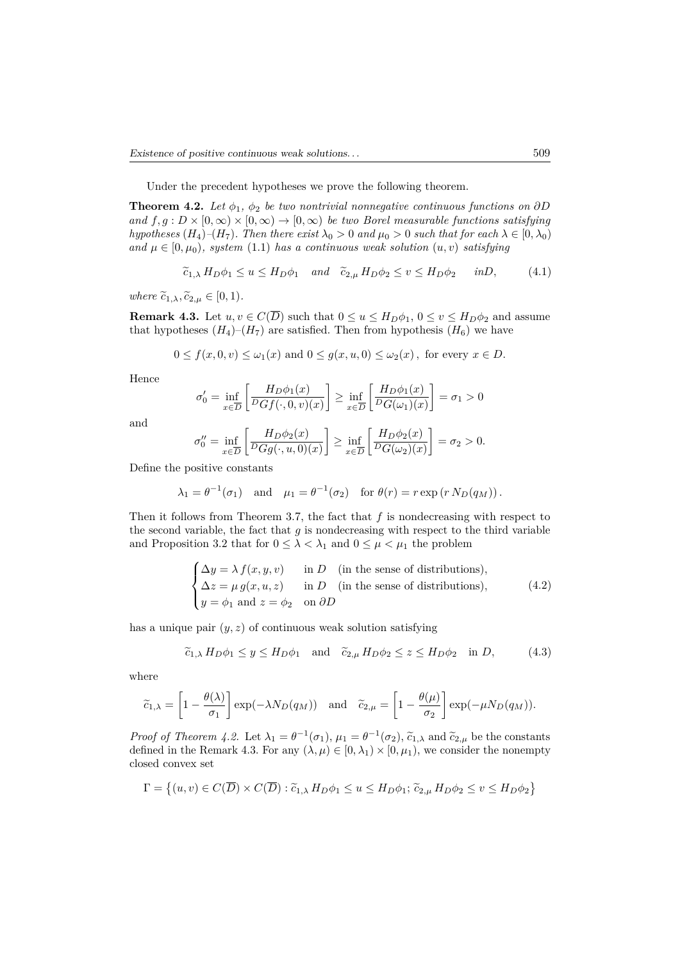Under the precedent hypotheses we prove the following theorem.

**Theorem 4.2.** *Let*  $\phi_1$ ,  $\phi_2$  *be two nontrivial nonnegative continuous functions on*  $\partial D$ *and*  $f, g: D \times [0, \infty) \times [0, \infty) \to [0, \infty)$  *be two Borel measurable functions satisfying hypotheses* (*H*<sub>4</sub>)–(*H*<sub>7</sub>)*. Then there exist*  $\lambda_0 > 0$  *and*  $\mu_0 > 0$  *such that for each*  $\lambda \in [0, \lambda_0)$ *and*  $\mu \in [0, \mu_0)$ *, system* (1.1) *has a continuous weak solution*  $(u, v)$  *satisfying* 

$$
\widetilde{c}_{1,\lambda} H_D \phi_1 \le u \le H_D \phi_1 \quad \text{and} \quad \widetilde{c}_{2,\mu} H_D \phi_2 \le v \le H_D \phi_2 \quad \text{in} D,\tag{4.1}
$$

*where*  $\widetilde{c}_{1,\lambda}, \widetilde{c}_{2,\mu} \in [0,1)$ *.* 

**Remark 4.3.** Let  $u, v \in C(\overline{D})$  such that  $0 \le u \le H_D\phi_1$ ,  $0 \le v \le H_D\phi_2$  and assume that hypotheses  $(H_4)$ – $(H_7)$  are satisfied. Then from hypothesis  $(H_6)$  we have

$$
0 \le f(x, 0, v) \le \omega_1(x)
$$
 and  $0 \le g(x, u, 0) \le \omega_2(x)$ , for every  $x \in D$ .

Hence

$$
\sigma'_0 = \inf_{x \in \overline{D}} \left[ \frac{H_D \phi_1(x)}{D G f(\cdot, 0, v)(x)} \right] \ge \inf_{x \in \overline{D}} \left[ \frac{H_D \phi_1(x)}{D G(\omega_1)(x)} \right] = \sigma_1 > 0
$$

and

$$
\sigma_0'' = \inf_{x \in \overline{D}} \left[ \frac{H_D \phi_2(x)}{D G g(\cdot, u, 0)(x)} \right] \ge \inf_{x \in \overline{D}} \left[ \frac{H_D \phi_2(x)}{D G(\omega_2)(x)} \right] = \sigma_2 > 0.
$$

Define the positive constants

$$
\lambda_1 = \theta^{-1}(\sigma_1)
$$
 and  $\mu_1 = \theta^{-1}(\sigma_2)$  for  $\theta(r) = r \exp(r N_D(q_M))$ .

Then it follows from Theorem 3*.*7, the fact that *f* is nondecreasing with respect to the second variable, the fact that  $g$  is nondecreasing with respect to the third variable and Proposition 3.2 that for  $0 \leq \lambda < \lambda_1$  and  $0 \leq \mu < \mu_1$  the problem

$$
\begin{cases}\n\Delta y = \lambda f(x, y, v) & \text{in } D \quad \text{(in the sense of distributions)}, \\
\Delta z = \mu g(x, u, z) & \text{in } D \quad \text{(in the sense of distributions)}, \\
y = \phi_1 \text{ and } z = \phi_2 \quad \text{on } \partial D\n\end{cases}
$$
\n(4.2)

has a unique pair  $(y, z)$  of continuous weak solution satisfying

$$
\widetilde{c}_{1,\lambda} H_D \phi_1 \leq y \leq H_D \phi_1 \quad \text{and} \quad \widetilde{c}_{2,\mu} H_D \phi_2 \leq z \leq H_D \phi_2 \quad \text{in } D,
$$
\n
$$
(4.3)
$$

where

$$
\widetilde{c}_{1,\lambda} = \left[1 - \frac{\theta(\lambda)}{\sigma_1}\right] \exp(-\lambda N_D(q_M))
$$
 and  $\widetilde{c}_{2,\mu} = \left[1 - \frac{\theta(\mu)}{\sigma_2}\right] \exp(-\mu N_D(q_M)).$ 

*Proof of Theorem 4.2.* Let  $\lambda_1 = \theta^{-1}(\sigma_1), \mu_1 = \theta^{-1}(\sigma_2), \tilde{c}_{1,\lambda}$  and  $\tilde{c}_{2,\mu}$  be the constants defined in the Remark 4.3. For any  $(\lambda, \mu) \in [0, \lambda_1) \times [0, \mu_1)$ , we consider the nonempty closed convex set

$$
\Gamma = \left\{ (u, v) \in C(\overline{D}) \times C(\overline{D}) : \tilde{c}_{1, \lambda} H_D \phi_1 \le u \le H_D \phi_1; \, \tilde{c}_{2, \mu} H_D \phi_2 \le v \le H_D \phi_2 \right\}
$$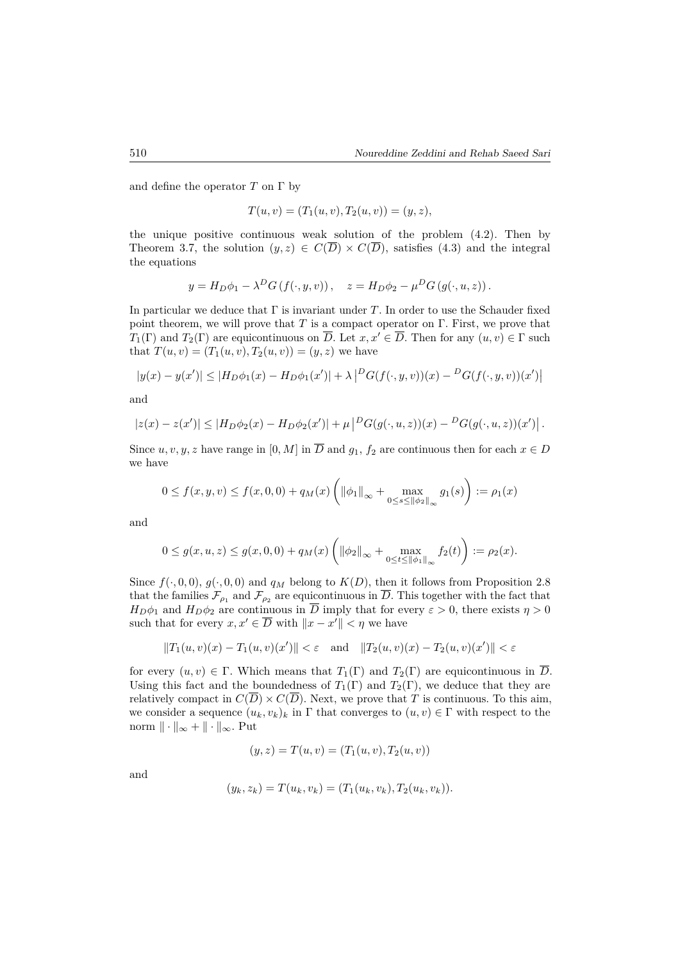and define the operator  $T$  on  $\Gamma$  by

$$
T(u, v) = (T_1(u, v), T_2(u, v)) = (y, z),
$$

the unique positive continuous weak solution of the problem (4*.*2). Then by Theorem 3.7, the solution  $(y, z) \in C(\overline{D}) \times C(\overline{D})$ , satisfies (4.3) and the integral the equations

$$
y = H_D \phi_1 - \lambda^D G(f(\cdot, y, v)), \quad z = H_D \phi_2 - \mu^D G(g(\cdot, u, z)).
$$

In particular we deduce that Γ is invariant under *T*. In order to use the Schauder fixed point theorem, we will prove that  $T$  is a compact operator on  $\Gamma$ . First, we prove that *T*<sub>1</sub>(Γ) and *T*<sub>2</sub>(Γ) are equicontinuous on  $\overline{D}$ . Let  $x, x' \in \overline{D}$ . Then for any  $(u, v) \in \Gamma$  such that  $T(u, v) = (T_1(u, v), T_2(u, v)) = (y, z)$  we have

$$
|y(x) - y(x')| \le |H_D \phi_1(x) - H_D \phi_1(x')| + \lambda \left| \frac{P_G(f(\cdot, y, v))(x) - P_G(f(\cdot, y, v))(x')}{P_G(f(\cdot, y, v))(x') \right|
$$

and

$$
|z(x) - z(x')| \le |H_D \phi_2(x) - H_D \phi_2(x')| + \mu \left| \frac{D_G(g(\cdot, u, z))(x) - D_G(g(\cdot, u, z))(x') \right|.
$$

Since  $u, v, y, z$  have range in  $[0, M]$  in  $\overline{D}$  and  $g_1, f_2$  are continuous then for each  $x \in D$ we have

$$
0 \le f(x, y, v) \le f(x, 0, 0) + q_M(x) \left( \|\phi_1\|_{\infty} + \max_{0 \le s \le \|\phi_2\|_{\infty}} g_1(s) \right) := \rho_1(x)
$$

and

$$
0 \le g(x, u, z) \le g(x, 0, 0) + q_M(x) \left( \|\phi_2\|_{\infty} + \max_{0 \le t \le \|\phi_1\|_{\infty}} f_2(t) \right) := \rho_2(x).
$$

Since  $f(\cdot, 0, 0)$ ,  $g(\cdot, 0, 0)$  and  $q_M$  belong to  $K(D)$ , then it follows from Proposition 2.8 that the families  $\mathcal{F}_{\rho_1}$  and  $\mathcal{F}_{\rho_2}$  are equicontinuous in  $\overline{D}$ . This together with the fact that *H*<sub>D</sub> $\phi_1$  and *H*<sub>D</sub> $\phi_2$  are continuous in  $\overline{D}$  imply that for every  $\varepsilon > 0$ , there exists  $\eta > 0$ such that for every  $x, x' \in \overline{D}$  with  $||x - x'|| < \eta$  we have

$$
||T_1(u, v)(x) - T_1(u, v)(x')|| < \varepsilon
$$
 and  $||T_2(u, v)(x) - T_2(u, v)(x')|| < \varepsilon$ 

for every  $(u, v) \in \Gamma$ . Which means that  $T_1(\Gamma)$  and  $T_2(\Gamma)$  are equicontinuous in  $\overline{D}$ . Using this fact and the boundedness of  $T_1(\Gamma)$  and  $T_2(\Gamma)$ , we deduce that they are relatively compact in  $C(\overline{D}) \times C(\overline{D})$ . Next, we prove that *T* is continuous. To this aim, we consider a sequence  $(u_k, v_k)_k$  in  $\Gamma$  that converges to  $(u, v) \in \Gamma$  with respect to the norm  $\|\cdot\|_{\infty} + \|\cdot\|_{\infty}$ . Put

$$
(y, z) = T(u, v) = (T_1(u, v), T_2(u, v))
$$

and

$$
(y_k, z_k) = T(u_k, v_k) = (T_1(u_k, v_k), T_2(u_k, v_k)).
$$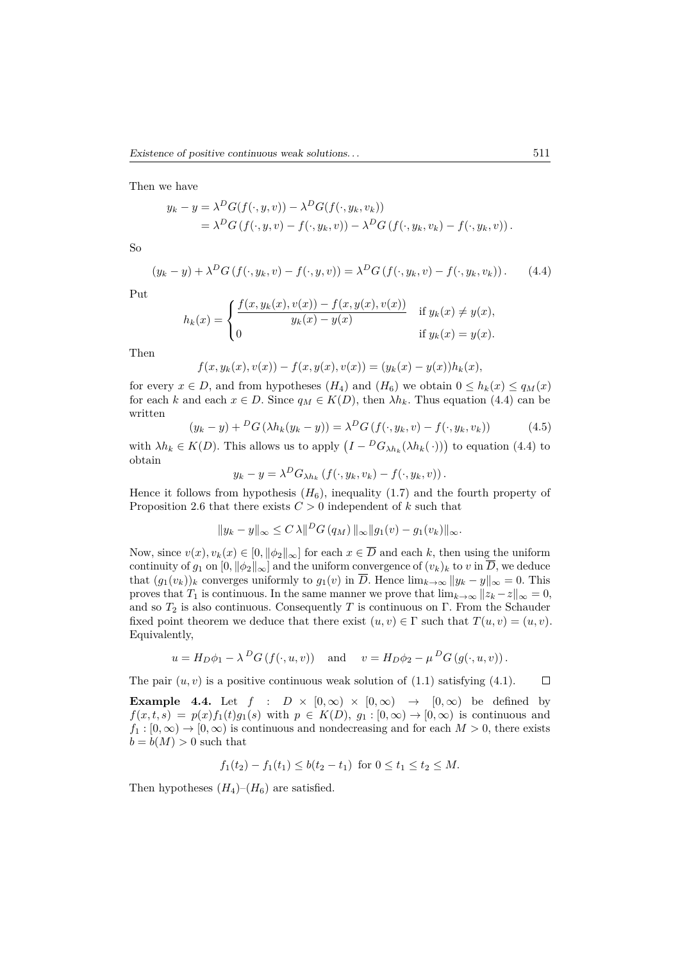Then we have

$$
y_k - y = \lambda^D G(f(\cdot, y, v)) - \lambda^D G(f(\cdot, y_k, v_k))
$$
  
=  $\lambda^D G(f(\cdot, y, v) - f(\cdot, y_k, v)) - \lambda^D G(f(\cdot, y_k, v_k) - f(\cdot, y_k, v))$ .

So

$$
(y_k - y) + \lambda^D G(f(\cdot, y_k, v) - f(\cdot, y, v)) = \lambda^D G(f(\cdot, y_k, v) - f(\cdot, y_k, v_k)). \tag{4.4}
$$

Put

$$
h_k(x) = \begin{cases} \frac{f(x, y_k(x), v(x)) - f(x, y(x), v(x))}{y_k(x) - y(x)} & \text{if } y_k(x) \neq y(x), \\ 0 & \text{if } y_k(x) = y(x). \end{cases}
$$

Then

$$
f(x, y_k(x), v(x)) - f(x, y(x), v(x)) = (y_k(x) - y(x))h_k(x),
$$

for every  $x \in D$ , and from hypotheses  $(H_4)$  and  $(H_6)$  we obtain  $0 \leq h_k(x) \leq q_M(x)$ for each *k* and each  $x \in D$ . Since  $q_M \in K(D)$ , then  $\lambda h_k$ . Thus equation (4.4) can be written

$$
(y_k - y) + {}^D G \left( \lambda h_k (y_k - y) \right) = \lambda {}^D G \left( f(\cdot, y_k, v) - f(\cdot, y_k, v_k) \right) \tag{4.5}
$$

with  $\lambda h_k \in K(D)$ . This allows us to apply  $(I - {}^D G_{\lambda h_k}(\lambda h_k(\cdot)))$  to equation (4.4) to obtain

$$
y_k - y = \lambda^D G_{\lambda h_k} \left( f(\cdot, y_k, v_k) - f(\cdot, y_k, v) \right).
$$

Hence it follows from hypothesis  $(H_6)$ , inequality  $(1.7)$  and the fourth property of Proposition 2.6 that there exists  $C > 0$  independent of  $k$  such that

$$
||y_k - y||_{\infty} \le C \lambda ||^D G (q_M) ||_{\infty} ||g_1(v) - g_1(v_k)||_{\infty}.
$$

Now, since  $v(x), v_k(x) \in [0, ||\phi_2||_{\infty}]$  for each  $x \in \overline{D}$  and each k, then using the uniform continuity of  $g_1$  on  $[0, ||\phi_2||_{\infty}]$  and the uniform convergence of  $(v_k)_k$  to  $v$  in  $\overline{D}$ , we deduce that  $(g_1(v_k))_k$  converges uniformly to  $g_1(v)$  in  $\overline{D}$ . Hence  $\lim_{k\to\infty} ||y_k - y||_{\infty} = 0$ . This proves that *T*<sub>1</sub> is continuous. In the same manner we prove that  $\lim_{k\to\infty} ||z_k - z||_{\infty} = 0$ , and so  $T_2$  is also continuous. Consequently *T* is continuous on  $\Gamma$ . From the Schauder fixed point theorem we deduce that there exist  $(u, v) \in \Gamma$  such that  $T(u, v) = (u, v)$ . Equivalently,

$$
u = H_D \phi_1 - \lambda^D G(f(\cdot, u, v))
$$
 and  $v = H_D \phi_2 - \mu^D G(g(\cdot, u, v)).$ 

The pair  $(u, v)$  is a positive continuous weak solution of  $(1.1)$  satisfying  $(4.1)$ .

**Example 4.4.** Let  $f : D \times [0, \infty) \times [0, \infty) \rightarrow [0, \infty)$  be defined by  $f(x, t, s) = p(x)f_1(t)g_1(s)$  with  $p \in K(D)$ ,  $g_1 : [0, \infty) \to [0, \infty)$  is continuous and  $f_1 : [0, \infty) \to [0, \infty)$  is continuous and nondecreasing and for each  $M > 0$ , there exists  $b = b(M) > 0$  such that

$$
f_1(t_2) - f_1(t_1) \leq b(t_2 - t_1)
$$
 for  $0 \leq t_1 \leq t_2 \leq M$ .

Then hypotheses  $(H_4)$ – $(H_6)$  are satisfied.

 $\Box$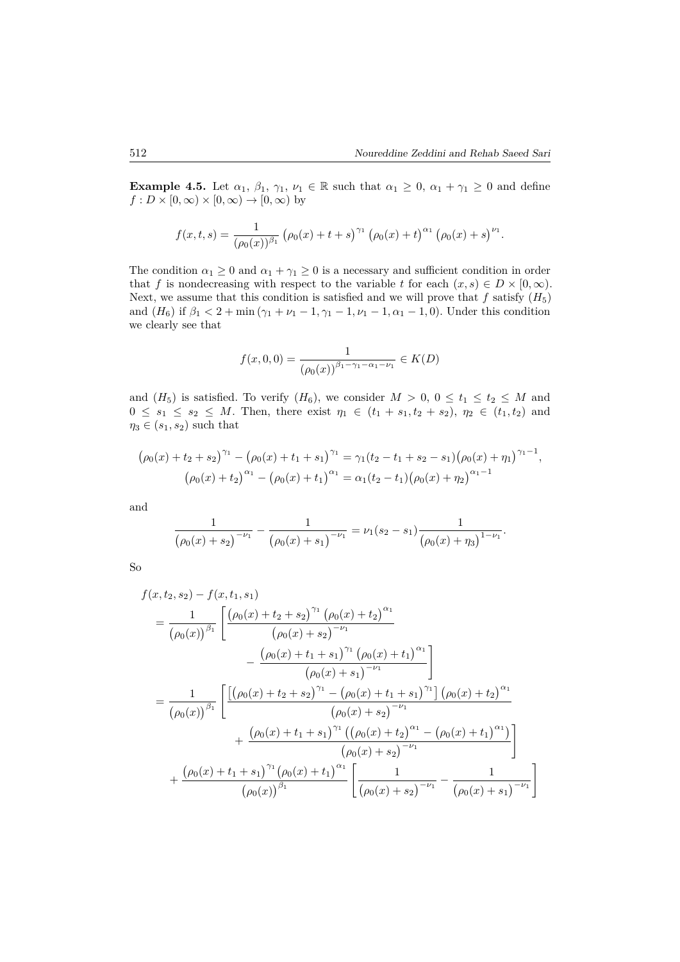**Example 4.5.** Let  $\alpha_1, \beta_1, \gamma_1, \nu_1 \in \mathbb{R}$  such that  $\alpha_1 \geq 0$ ,  $\alpha_1 + \gamma_1 \geq 0$  and define  $f: D \times [0, \infty) \times [0, \infty) \to [0, \infty)$  by

$$
f(x,t,s) = \frac{1}{(\rho_0(x))^{\beta_1}} (\rho_0(x) + t + s)^{\gamma_1} (\rho_0(x) + t)^{\alpha_1} (\rho_0(x) + s)^{\nu_1}.
$$

The condition  $\alpha_1 \geq 0$  and  $\alpha_1 + \gamma_1 \geq 0$  is a necessary and sufficient condition in order that *f* is nondecreasing with respect to the variable *t* for each  $(x, s) \in D \times [0, \infty)$ . Next, we assume that this condition is satisfied and we will prove that  $f$  satisfy  $(H_5)$ and  $(H_6)$  if  $\beta_1 < 2 + \min(\gamma_1 + \nu_1 - 1, \gamma_1 - 1, \nu_1 - 1, \alpha_1 - 1, 0)$ . Under this condition we clearly see that

$$
f(x,0,0) = \frac{1}{(\rho_0(x))^{\beta_1 - \gamma_1 - \alpha_1 - \nu_1}} \in K(D)
$$

and  $(H_5)$  is satisfied. To verify  $(H_6)$ , we consider  $M > 0$ ,  $0 \le t_1 \le t_2 \le M$  and  $0 \le s_1 \le s_2 \le M$ . Then, there exist  $\eta_1 \in (t_1 + s_1, t_2 + s_2), \eta_2 \in (t_1, t_2)$  and  $\eta_3 \in (s_1, s_2)$  such that

$$
(\rho_0(x) + t_2 + s_2)^{\gamma_1} - (\rho_0(x) + t_1 + s_1)^{\gamma_1} = \gamma_1(t_2 - t_1 + s_2 - s_1)(\rho_0(x) + \eta_1)^{\gamma_1 - 1},
$$
  

$$
(\rho_0(x) + t_2)^{\alpha_1} - (\rho_0(x) + t_1)^{\alpha_1} = \alpha_1(t_2 - t_1)(\rho_0(x) + \eta_2)^{\alpha_1 - 1}
$$

and

$$
\frac{1}{(\rho_0(x) + s_2)^{-\nu_1}} - \frac{1}{(\rho_0(x) + s_1)^{-\nu_1}} = \nu_1(s_2 - s_1) \frac{1}{(\rho_0(x) + \eta_3)^{1-\nu_1}}.
$$

So

$$
f(x, t_2, s_2) - f(x, t_1, s_1)
$$
\n
$$
= \frac{1}{(\rho_0(x))^{\beta_1}} \left[ \frac{(\rho_0(x) + t_2 + s_2)^{\gamma_1} (\rho_0(x) + t_2)^{\alpha_1}}{(\rho_0(x) + s_2)^{-\nu_1}} - \frac{(\rho_0(x) + t_1 + s_1)^{\gamma_1} (\rho_0(x) + t_1)^{\alpha_1}}{(\rho_0(x) + s_1)^{-\nu_1}} \right]
$$
\n
$$
= \frac{1}{(\rho_0(x))^{\beta_1}} \left[ \frac{[(\rho_0(x) + t_2 + s_2)^{\gamma_1} - (\rho_0(x) + t_1 + s_1)^{\gamma_1}] (\rho_0(x) + t_2)^{\alpha_1}}{(\rho_0(x) + s_2)^{-\nu_1}} + \frac{(\rho_0(x) + t_1 + s_1)^{\gamma_1} ((\rho_0(x) + t_2)^{\alpha_1} - (\rho_0(x) + t_1)^{\alpha_1})}{(\rho_0(x) + s_2)^{-\nu_1}} \right]
$$
\n
$$
+ \frac{(\rho_0(x) + t_1 + s_1)^{\gamma_1} (\rho_0(x) + t_1)^{\alpha_1}}{(\rho_0(x))^{\beta_1}} \left[ \frac{1}{(\rho_0(x) + s_2)^{-\nu_1}} - \frac{1}{(\rho_0(x) + s_1)^{-\nu_1}} \right]
$$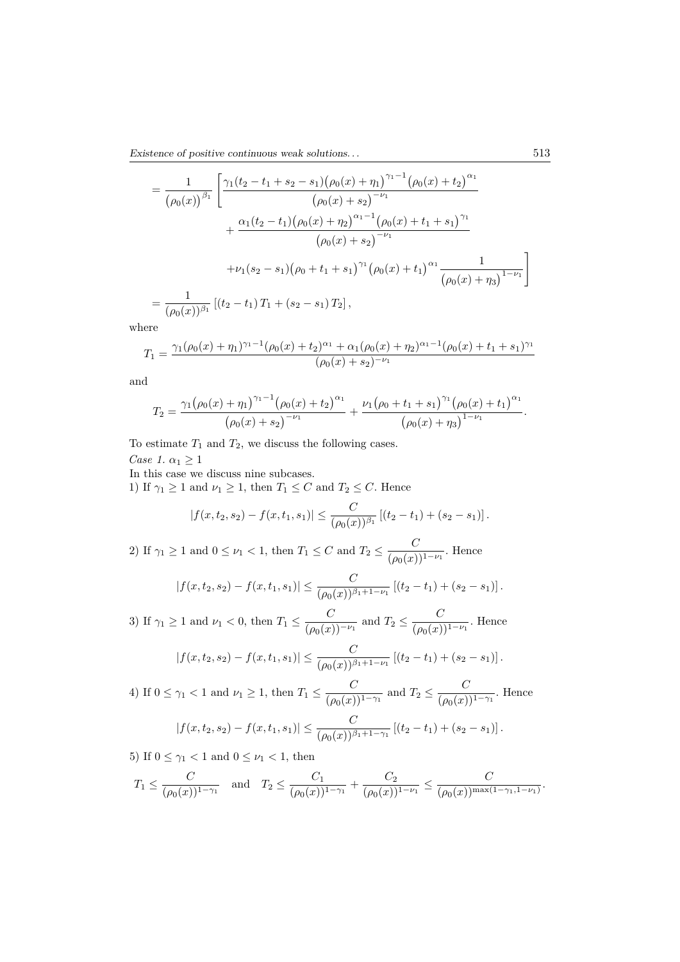Existence of positive continuous weak solutions. . . 513

$$
= \frac{1}{(\rho_0(x))^{\beta_1}} \left[ \frac{\gamma_1(t_2 - t_1 + s_2 - s_1)(\rho_0(x) + \eta_1)^{\gamma_1 - 1}(\rho_0(x) + t_2)^{\alpha_1}}{(\rho_0(x) + s_2)^{-\nu_1}} + \frac{\alpha_1(t_2 - t_1)(\rho_0(x) + \eta_2)^{\alpha_1 - 1}(\rho_0(x) + t_1 + s_1)^{\gamma_1}}{(\rho_0(x) + s_2)^{-\nu_1}} + \frac{\nu_1(s_2 - s_1)(\rho_0 + t_1 + s_1)^{\gamma_1}(\rho_0(x) + t_1)^{\alpha_1} \frac{1}{(\rho_0(x) + \eta_3)^{1 - \nu_1}}}{\frac{1}{(\rho_0(x))^{\beta_1}} \left[ (t_2 - t_1) T_1 + (s_2 - s_1) T_2 \right],
$$

where

$$
T_1 = \frac{\gamma_1(\rho_0(x) + \eta_1)^{\gamma_1 - 1}(\rho_0(x) + t_2)^{\alpha_1} + \alpha_1(\rho_0(x) + \eta_2)^{\alpha_1 - 1}(\rho_0(x) + t_1 + s_1)^{\gamma_1}}{(\rho_0(x) + s_2)^{-\nu_1}}
$$

and

$$
T_2 = \frac{\gamma_1(\rho_0(x) + \eta_1)^{\gamma_1 - 1}(\rho_0(x) + t_2)^{\alpha_1}}{(\rho_0(x) + s_2)^{-\nu_1}} + \frac{\nu_1(\rho_0 + t_1 + s_1)^{\gamma_1}(\rho_0(x) + t_1)^{\alpha_1}}{(\rho_0(x) + \eta_3)^{1 - \nu_1}}.
$$

To estimate  $T_1$  and  $T_2$ , we discuss the following cases. *Case 1.*  $\alpha_1 \geq 1$ 

In this case we discuss nine subcases.

1) If  $\gamma_1 \geq 1$  and  $\nu_1 \geq 1$ , then  $T_1 \leq C$  and  $T_2 \leq C$ . Hence

$$
|f(x,t_2,s_2)-f(x,t_1,s_1)|\leq \frac{C}{(\rho_0(x))^{\beta_1}}\left[(t_2-t_1)+(s_2-s_1)\right].
$$

2) If  $\gamma_1 \geq 1$  and  $0 \leq \nu_1 < 1$ , then  $T_1 \leq C$  and  $T_2 \leq \frac{C}{(\rho_0(r))}$  $\frac{C}{(\rho_0(x))^{1-\nu_1}}$ . Hence

$$
|f(x,t_2,s_2)-f(x,t_1,s_1)| \leq \frac{C}{(\rho_0(x))^{\beta_1+1-\nu_1}} \left[ (t_2-t_1) + (s_2-s_1) \right].
$$

3) If  $\gamma_1 \geq 1$  and  $\nu_1 < 0$ , then  $T_1 \leq \frac{C}{(\rho_0(x))}$  $\frac{C}{(\rho_0(x))^{-\nu_1}}$  and  $T_2 \le \frac{C}{(\rho_0(x))}$  $\frac{C}{(\rho_0(x))^{1-\nu_1}}$ . Hence

$$
|f(x,t_2,s_2)-f(x,t_1,s_1)| \leq \frac{C}{(\rho_0(x))^{\beta_1+1-\nu_1}}\left[(t_2-t_1)+(s_2-s_1)\right].
$$

4) If  $0 \leq \gamma_1 < 1$  and  $\nu_1 \geq 1$ , then  $T_1 \leq \frac{C}{(\rho_0(x))}$  $\frac{C}{(\rho_0(x))^{1-\gamma_1}}$  and  $T_2 \le \frac{C}{(\rho_0(x))^{1-\gamma_1}}$  $\frac{C}{(\rho_0(x))^{1-\gamma_1}}$ . Hence  $|f(x, t_2, s_2) - f(x, t_1, s_1)| \leq \frac{C}{(\rho_0(x))^{\beta_1 + 1 - \gamma_1}} [(t_2 - t_1) + (s_2 - s_1)].$ 

5) If  $0 \leq \gamma_1 < 1$  and  $0 \leq \nu_1 < 1$ , then

$$
T_1 \le \frac{C}{(\rho_0(x))^{1-\gamma_1}}
$$
 and  $T_2 \le \frac{C_1}{(\rho_0(x))^{1-\gamma_1}} + \frac{C_2}{(\rho_0(x))^{1-\nu_1}} \le \frac{C}{(\rho_0(x))^{\max(1-\gamma_1,1-\nu_1)}}.$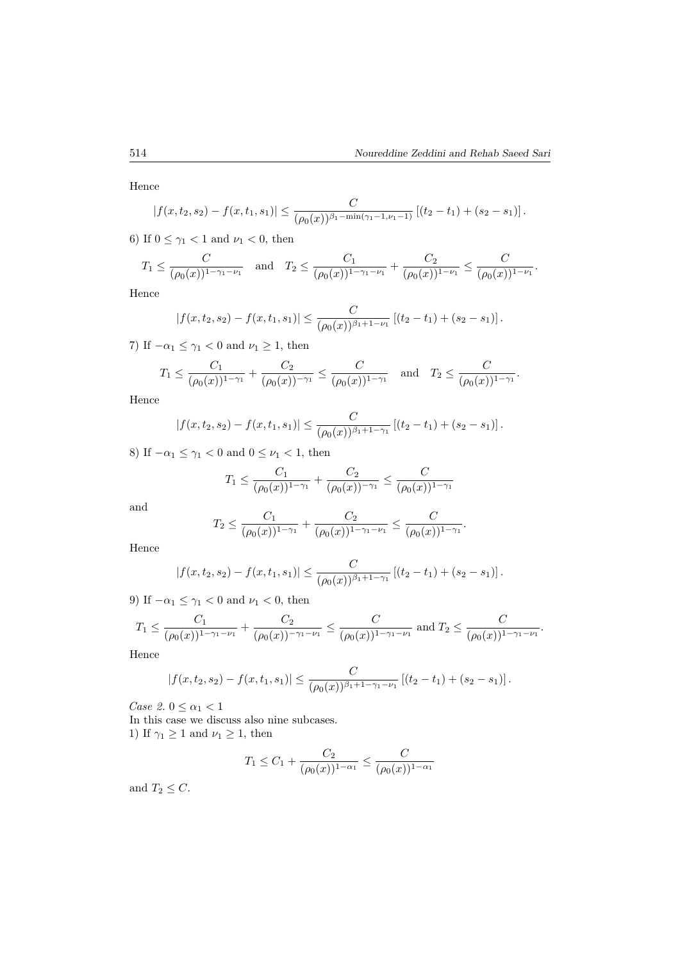Hence

$$
|f(x,t_2,s_2)-f(x,t_1,s_1)|\leq \frac{C}{(\rho_0(x))^{\beta_1-\min(\gamma_1-1,\nu_1-1)}}\left[(t_2-t_1)+(s_2-s_1)\right].
$$

6) If  $0 \leq \gamma_1 < 1$  and  $\nu_1 < 0$ , then

$$
T_1 \leq \frac{C}{(\rho_0(x))^{1-\gamma_1-\nu_1}}
$$
 and  $T_2 \leq \frac{C_1}{(\rho_0(x))^{1-\gamma_1-\nu_1}} + \frac{C_2}{(\rho_0(x))^{1-\nu_1}} \leq \frac{C}{(\rho_0(x))^{1-\nu_1}}.$ 

Hence

$$
|f(x,t_2,s_2)-f(x,t_1,s_1)|\leq \frac{C}{(\rho_0(x))^{\beta_1+1-\nu_1}}\left[(t_2-t_1)+(s_2-s_1)\right].
$$

7) If  $-\alpha_1 \leq \gamma_1 < 0$  and  $\nu_1 \geq 1$ , then

$$
T_1 \leq \frac{C_1}{(\rho_0(x))^{1-\gamma_1}} + \frac{C_2}{(\rho_0(x))^{-\gamma_1}} \leq \frac{C}{(\rho_0(x))^{1-\gamma_1}}
$$
 and  $T_2 \leq \frac{C}{(\rho_0(x))^{1-\gamma_1}}$ .

Hence

$$
|f(x,t_2,s_2)-f(x,t_1,s_1)|\leq \frac{C}{(\rho_0(x))^{\beta_1+1-\gamma_1}}\left[(t_2-t_1)+(s_2-s_1)\right].
$$

8) If  $-\alpha_1 \leq \gamma_1 < 0$  and  $0 \leq \nu_1 < 1$ , then

$$
T_1 \le \frac{C_1}{(\rho_0(x))^{1-\gamma_1}} + \frac{C_2}{(\rho_0(x))^{-\gamma_1}} \le \frac{C}{(\rho_0(x))^{1-\gamma_1}}
$$

and

$$
T_2 \le \frac{C_1}{(\rho_0(x))^{1-\gamma_1}} + \frac{C_2}{(\rho_0(x))^{1-\gamma_1-\nu_1}} \le \frac{C}{(\rho_0(x))^{1-\gamma_1}}.
$$

Hence

$$
|f(x,t_2,s_2)-f(x,t_1,s_1)|\leq \frac{C}{(\rho_0(x))^{\beta_1+1-\gamma_1}}\left[(t_2-t_1)+(s_2-s_1)\right].
$$

9) If  $-\alpha_1 \leq \gamma_1 < 0$  and  $\nu_1 < 0$ , then

$$
T_1 \le \frac{C_1}{(\rho_0(x))^{1-\gamma_1-\nu_1}} + \frac{C_2}{(\rho_0(x))^{-\gamma_1-\nu_1}} \le \frac{C}{(\rho_0(x))^{1-\gamma_1-\nu_1}} \text{ and } T_2 \le \frac{C}{(\rho_0(x))^{1-\gamma_1-\nu_1}}.
$$

Hence

$$
|f(x,t_2,s_2)-f(x,t_1,s_1)|\leq \frac{C}{(\rho_0(x))^{\beta_1+1-\gamma_1-\nu_1}}\left[(t_2-t_1)+(s_2-s_1)\right].
$$

*Case 2.*  $0 \leq \alpha_1 < 1$ 

In this case we discuss also nine subcases. 1) If  $\gamma_1 \geq 1$  and  $\nu_1 \geq 1$ , then

$$
T_1 \le C_1 + \frac{C_2}{(\rho_0(x))^{1-\alpha_1}} \le \frac{C}{(\rho_0(x))^{1-\alpha_1}}
$$

and  $T_2 \leq C$ .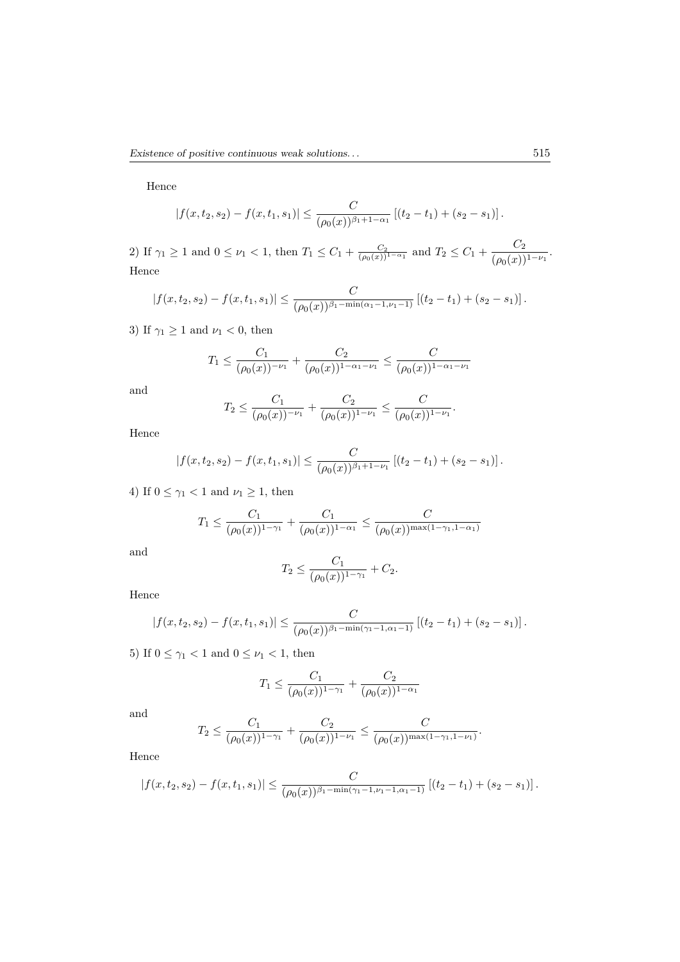Hence

$$
|f(x,t_2,s_2)-f(x,t_1,s_1)|\leq \frac{C}{(\rho_0(x))^{\beta_1+1-\alpha_1}}\left[(t_2-t_1)+(s_2-s_1)\right].
$$

2) If  $\gamma_1 \geq 1$  and  $0 \leq \nu_1 < 1$ , then  $T_1 \leq C_1 + \frac{C_2}{(\rho_0(x))^{1-\alpha_1}}$  and  $T_2 \leq C_1 + \frac{C_2}{(\rho_0(x))^{1-\alpha_1}}$  $\frac{C_2}{(\rho_0(x))^{1-\nu_1}}$ . Hence

$$
|f(x,t_2,s_2)-f(x,t_1,s_1)| \leq \frac{C}{(\rho_0(x))^{\beta_1-\min(\alpha_1-1,\nu_1-1)}}\left[(t_2-t_1)+(s_2-s_1)\right].
$$

3) If  $\gamma_1 \geq 1$  and  $\nu_1 < 0$ , then

$$
T_1 \le \frac{C_1}{(\rho_0(x))^{-\nu_1}} + \frac{C_2}{(\rho_0(x))^{1-\alpha_1-\nu_1}} \le \frac{C}{(\rho_0(x))^{1-\alpha_1-\nu_1}}
$$

and

$$
T_2 \le \frac{C_1}{(\rho_0(x))^{-\nu_1}} + \frac{C_2}{(\rho_0(x))^{1-\nu_1}} \le \frac{C}{(\rho_0(x))^{1-\nu_1}}.
$$

Hence

$$
|f(x,t_2,s_2)-f(x,t_1,s_1)|\leq \frac{C}{(\rho_0(x))^{\beta_1+1-\nu_1}}\left[(t_2-t_1)+(s_2-s_1)\right].
$$

4) If  $0 \leq \gamma_1 < 1$  and  $\nu_1 \geq 1$ , then

$$
T_1 \le \frac{C_1}{(\rho_0(x))^{1-\gamma_1}} + \frac{C_1}{(\rho_0(x))^{1-\alpha_1}} \le \frac{C}{(\rho_0(x))^{\max(1-\gamma_1, 1-\alpha_1)}}
$$

and

$$
T_2 \le \frac{C_1}{(\rho_0(x))^{1-\gamma_1}} + C_2.
$$

Hence

$$
|f(x,t_2,s_2)-f(x,t_1,s_1)| \leq \frac{C}{(\rho_0(x))^{\beta_1-\min(\gamma_1-1,\alpha_1-1)}}\left[(t_2-t_1)+(s_2-s_1)\right].
$$

5) If  $0 \leq \gamma_1 < 1$  and  $0 \leq \nu_1 < 1$ , then

$$
T_1 \le \frac{C_1}{(\rho_0(x))^{1-\gamma_1}} + \frac{C_2}{(\rho_0(x))^{1-\alpha_1}}
$$

and

$$
T_2 \leq \frac{C_1}{(\rho_0(x))^{1-\gamma_1}} + \frac{C_2}{(\rho_0(x))^{1-\nu_1}} \leq \frac{C}{(\rho_0(x))^{\max(1-\gamma_1, 1-\nu_1)}}.
$$

Hence

$$
|f(x,t_2,s_2)-f(x,t_1,s_1)| \leq \frac{C}{(\rho_0(x))^{\beta_1-\min(\gamma_1-1,\nu_1-1,\alpha_1-1)}}\left[(t_2-t_1)+(s_2-s_1)\right].
$$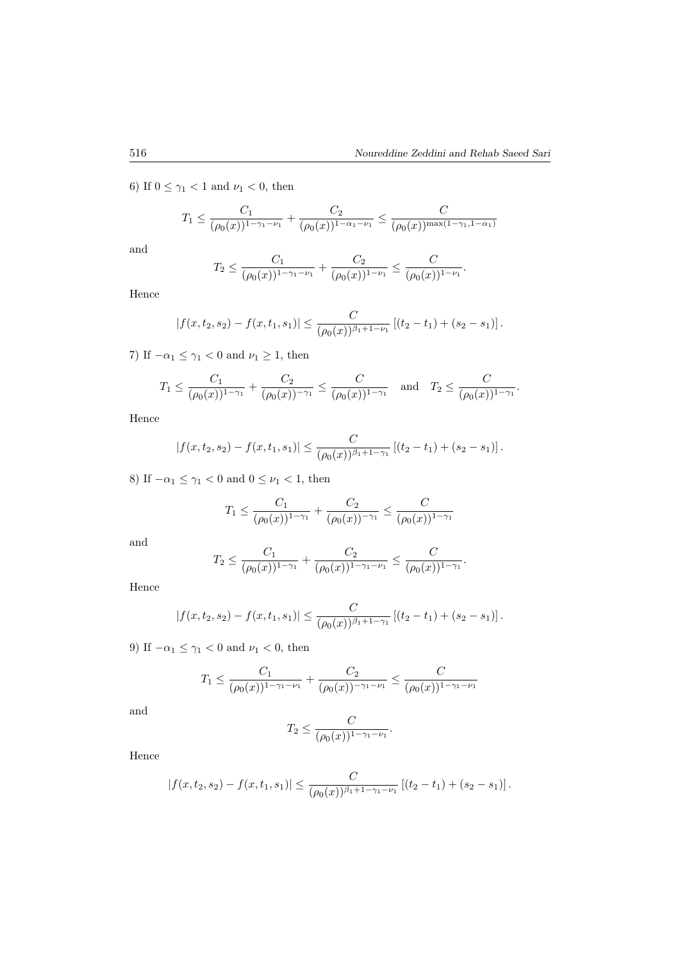*.*

6) If  $0 \leq \gamma_1 < 1$  and  $\nu_1 < 0$ , then

$$
T_1 \le \frac{C_1}{(\rho_0(x))^{1-\gamma_1-\nu_1}} + \frac{C_2}{(\rho_0(x))^{1-\alpha_1-\nu_1}} \le \frac{C}{(\rho_0(x))^{\max(1-\gamma_1,1-\alpha_1)}}
$$

and

$$
T_2 \le \frac{C_1}{(\rho_0(x))^{1-\gamma_1-\nu_1}} + \frac{C_2}{(\rho_0(x))^{1-\nu_1}} \le \frac{C}{(\rho_0(x))^{1-\nu_1}}
$$

Hence

$$
|f(x,t_2,s_2)-f(x,t_1,s_1)|\leq \frac{C}{(\rho_0(x))^{\beta_1+1-\nu_1}}\left[(t_2-t_1)+(s_2-s_1)\right].
$$

7) If  $-\alpha_1 \leq \gamma_1 < 0$  and  $\nu_1 \geq 1$ , then

$$
T_1 \le \frac{C_1}{(\rho_0(x))^{1-\gamma_1}} + \frac{C_2}{(\rho_0(x))^{-\gamma_1}} \le \frac{C}{(\rho_0(x))^{1-\gamma_1}}
$$
 and  $T_2 \le \frac{C}{(\rho_0(x))^{1-\gamma_1}}$ .

Hence

$$
|f(x,t_2,s_2)-f(x,t_1,s_1)|\leq \frac{C}{(\rho_0(x))^{\beta_1+1-\gamma_1}}\left[(t_2-t_1)+(s_2-s_1)\right].
$$

8) If  $-\alpha_1 \leq \gamma_1 < 0$  and  $0 \leq \nu_1 < 1$ , then

$$
T_1 \le \frac{C_1}{(\rho_0(x))^{1-\gamma_1}} + \frac{C_2}{(\rho_0(x))^{-\gamma_1}} \le \frac{C}{(\rho_0(x))^{1-\gamma_1}}
$$

and

$$
T_2 \leq \frac{C_1}{(\rho_0(x))^{1-\gamma_1}} + \frac{C_2}{(\rho_0(x))^{1-\gamma_1-\nu_1}} \leq \frac{C}{(\rho_0(x))^{1-\gamma_1}}.
$$

Hence

$$
|f(x,t_2,s_2)-f(x,t_1,s_1)|\leq \frac{C}{(\rho_0(x))^{\beta_1+1-\gamma_1}}\left[(t_2-t_1)+(s_2-s_1)\right].
$$

9) If  $-\alpha_1 \leq \gamma_1 < 0$  and  $\nu_1 < 0$ , then

$$
T_1 \le \frac{C_1}{(\rho_0(x))^{1-\gamma_1-\nu_1}} + \frac{C_2}{(\rho_0(x))^{-\gamma_1-\nu_1}} \le \frac{C}{(\rho_0(x))^{1-\gamma_1-\nu_1}}
$$

and

$$
T_2 \leq \frac{C}{(\rho_0(x))^{1-\gamma_1-\nu_1}}.
$$

Hence

$$
|f(x,t_2,s_2)-f(x,t_1,s_1)|\leq \frac{C}{(\rho_0(x))^{\beta_1+1-\gamma_1-\nu_1}}\left[(t_2-t_1)+(s_2-s_1)\right].
$$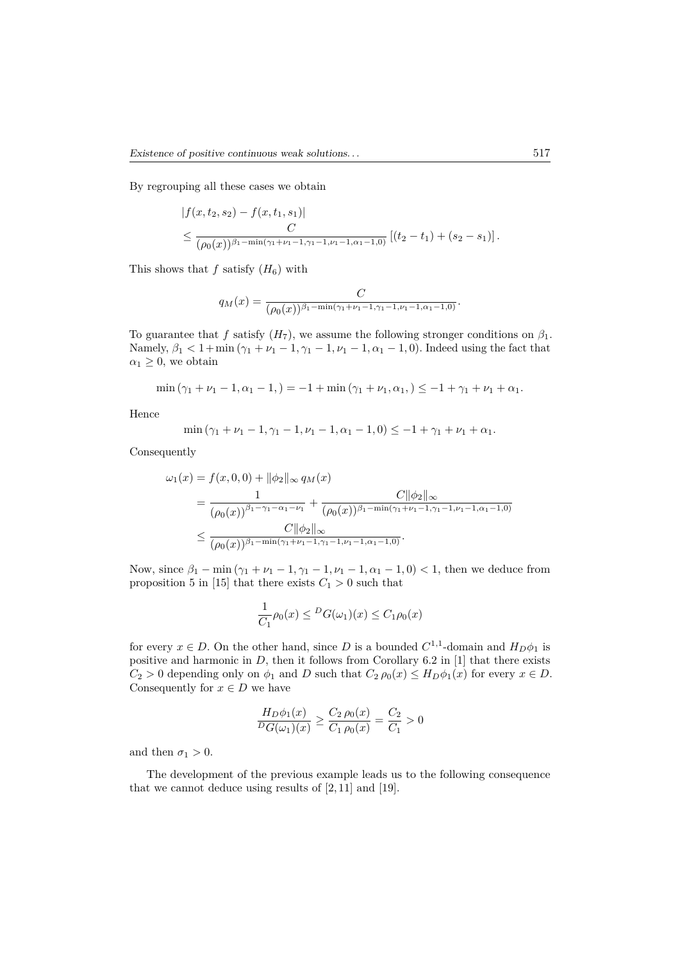By regrouping all these cases we obtain

$$
|f(x, t_2, s_2) - f(x, t_1, s_1)|
$$
  
\n
$$
\leq \frac{C}{(\rho_0(x))^{\beta_1 - \min(\gamma_1 + \nu_1 - 1, \gamma_1 - 1, \nu_1 - 1, \alpha_1 - 1, 0)}} [(t_2 - t_1) + (s_2 - s_1)].
$$

This shows that  $f$  satisfy  $(H_6)$  with

$$
q_M(x) = \frac{C}{(\rho_0(x))^{\beta_1 - \min(\gamma_1 + \nu_1 - 1, \gamma_1 - 1, \nu_1 - 1, \alpha_1 - 1, 0)}}.
$$

To guarantee that *f* satisfy  $(H_7)$ , we assume the following stronger conditions on  $\beta_1$ . Namely,  $\beta_1 < 1 + \min(\gamma_1 + \nu_1 - 1, \gamma_1 - 1, \nu_1 - 1, \alpha_1 - 1, 0)$ . Indeed using the fact that  $\alpha_1 \geq 0$ , we obtain

$$
\min(\gamma_1 + \nu_1 - 1, \alpha_1 - 1) = -1 + \min(\gamma_1 + \nu_1, \alpha_1) \leq -1 + \gamma_1 + \nu_1 + \alpha_1.
$$

Hence

$$
\min(\gamma_1 + \nu_1 - 1, \gamma_1 - 1, \nu_1 - 1, \alpha_1 - 1, 0) \le -1 + \gamma_1 + \nu_1 + \alpha_1.
$$

Consequently

$$
\omega_1(x) = f(x, 0, 0) + ||\phi_2||_{\infty} q_M(x)
$$
  
= 
$$
\frac{1}{(\rho_0(x))^{\beta_1 - \gamma_1 - \alpha_1 - \nu_1}} + \frac{C||\phi_2||_{\infty}}{(\rho_0(x))^{\beta_1 - \min(\gamma_1 + \nu_1 - 1, \gamma_1 - 1, \nu_1 - 1, \alpha_1 - 1, 0)}}
$$
  

$$
\leq \frac{C||\phi_2||_{\infty}}{(\rho_0(x))^{\beta_1 - \min(\gamma_1 + \nu_1 - 1, \gamma_1 - 1, \nu_1 - 1, \alpha_1 - 1, 0)}}.
$$

Now, since  $\beta_1 - \min(\gamma_1 + \nu_1 - 1, \gamma_1 - 1, \nu_1 - 1, \alpha_1 - 1, 0) < 1$ , then we deduce from proposition 5 in [15] that there exists  $C_1 > 0$  such that

$$
\frac{1}{C_1}\rho_0(x) \leq {}^D G(\omega_1)(x) \leq C_1\rho_0(x)
$$

for every  $x \in D$ . On the other hand, since *D* is a bounded  $C^{1,1}$ -domain and  $H_D \phi_1$  is positive and harmonic in *D*, then it follows from Corollary 6.2 in [1] that there exists  $C_2 > 0$  depending only on  $\phi_1$  and *D* such that  $C_2 \rho_0(x) \leq H_D \phi_1(x)$  for every  $x \in D$ . Consequently for  $x \in D$  we have

$$
\frac{H_D \phi_1(x)}{D_G(\omega_1)(x)} \ge \frac{C_2 \rho_0(x)}{C_1 \rho_0(x)} = \frac{C_2}{C_1} > 0
$$

and then  $\sigma_1 > 0$ .

The development of the previous example leads us to the following consequence that we cannot deduce using results of  $[2, 11]$  and  $[19]$ .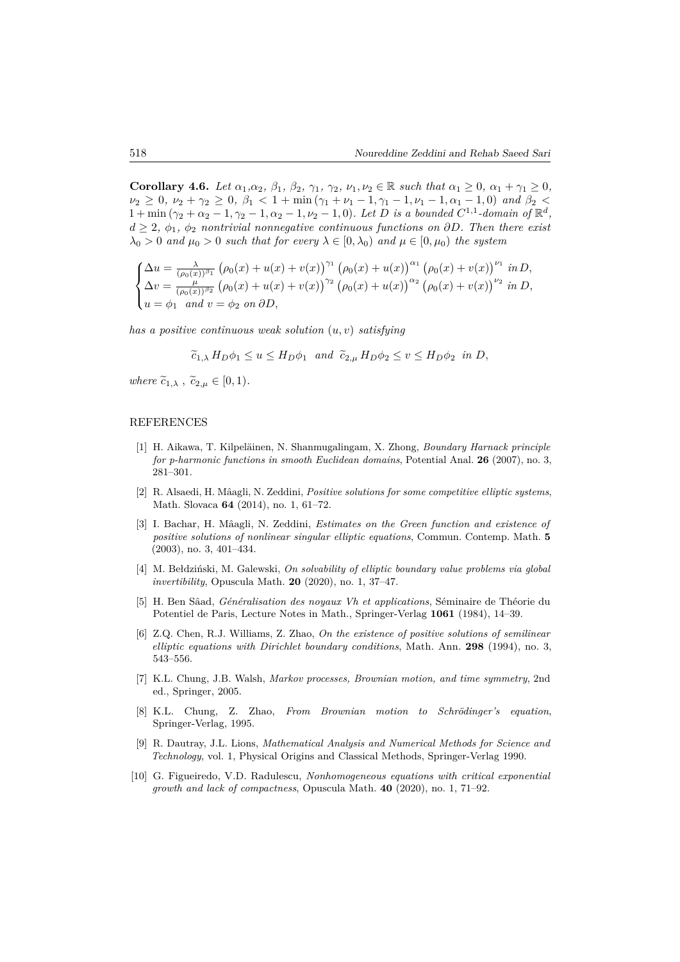**Corollary 4.6.** Let  $\alpha_1, \alpha_2, \beta_1, \beta_2, \gamma_1, \gamma_2, \nu_1, \nu_2 \in \mathbb{R}$  such that  $\alpha_1 \geq 0$ ,  $\alpha_1 + \gamma_1 \geq 0$ ,  $\nu_2 \geq 0$ ,  $\nu_2 + \gamma_2 \geq 0$ ,  $\beta_1 < 1 + \min(\gamma_1 + \nu_1 - 1, \gamma_1 - 1, \nu_1 - 1, \alpha_1 - 1, 0)$  and  $\beta_2 <$  $1 + \min (\gamma_2 + \alpha_2 - 1, \gamma_2 - 1, \alpha_2 - 1, \nu_2 - 1, 0)$ *. Let D is a bounded*  $C^{1,1}$ *-domain of*  $\mathbb{R}^d$ *, d* ≥ 2*, ϕ*1*, ϕ*<sup>2</sup> *nontrivial nonnegative continuous functions on ∂D. Then there exist*  $\lambda_0 > 0$  *and*  $\mu_0 > 0$  *such that for every*  $\lambda \in [0, \lambda_0)$  *and*  $\mu \in [0, \mu_0)$  *the system* 

$$
\begin{cases} \Delta u = \frac{\lambda}{(\rho_0(x))^{\beta_1}} \left( \rho_0(x) + u(x) + v(x) \right)^{\gamma_1} \left( \rho_0(x) + u(x) \right)^{\alpha_1} \left( \rho_0(x) + v(x) \right)^{\nu_1} in D, \\ \Delta v = \frac{\mu}{(\rho_0(x))^{\beta_2}} \left( \rho_0(x) + u(x) + v(x) \right)^{\gamma_2} \left( \rho_0(x) + u(x) \right)^{\alpha_2} \left( \rho_0(x) + v(x) \right)^{\nu_2} in D, \\ u = \phi_1 \quad and \quad v = \phi_2 \quad on \quad \partial D, \end{cases}
$$

*has a positive continuous weak solution* (*u, v*) *satisfying*

 $\widetilde{c}_1 \times H_D \phi_1 \leq u \leq H_D \phi_1$  *and*  $\widetilde{c}_2 \times u H_D \phi_2 \leq v \leq H_D \phi_2$  *in D*,

*where*  $\widetilde{c}_{1,\lambda}$ ,  $\widetilde{c}_{2,\mu} \in [0,1)$ *.* 

#### REFERENCES

- [1] H. Aikawa, T. Kilpeläinen, N. Shanmugalingam, X. Zhong, *Boundary Harnack principle for p-harmonic functions in smooth Euclidean domains*, Potential Anal. **26** (2007), no. 3, 281–301.
- [2] R. Alsaedi, H. Mâagli, N. Zeddini, *Positive solutions for some competitive elliptic systems*, Math. Slovaca **64** (2014), no. 1, 61–72.
- [3] I. Bachar, H. Mâagli, N. Zeddini, *Estimates on the Green function and existence of positive solutions of nonlinear singular elliptic equations*, Commun. Contemp. Math. **5** (2003), no. 3, 401–434.
- [4] M. Bełdziński, M. Galewski, *On solvability of elliptic boundary value problems via global invertibility*, Opuscula Math. **20** (2020), no. 1, 37–47.
- [5] H. Ben Sâad, *Généralisation des noyaux Vh et applications*, Séminaire de Théorie du Potentiel de Paris, Lecture Notes in Math., Springer-Verlag **1061** (1984), 14–39.
- [6] Z.Q. Chen, R.J. Williams, Z. Zhao, *On the existence of positive solutions of semilinear elliptic equations with Dirichlet boundary conditions*, Math. Ann. **298** (1994), no. 3, 543–556.
- [7] K.L. Chung, J.B. Walsh, *Markov processes, Brownian motion, and time symmetry*, 2nd ed., Springer, 2005.
- [8] K.L. Chung, Z. Zhao, *From Brownian motion to Schrödinger's equation*, Springer-Verlag, 1995.
- [9] R. Dautray, J.L. Lions, *Mathematical Analysis and Numerical Methods for Science and Technology*, vol. 1, Physical Origins and Classical Methods, Springer-Verlag 1990.
- [10] G. Figueiredo, V.D. Radulescu, *Nonhomogeneous equations with critical exponential growth and lack of compactness*, Opuscula Math. **40** (2020), no. 1, 71–92.